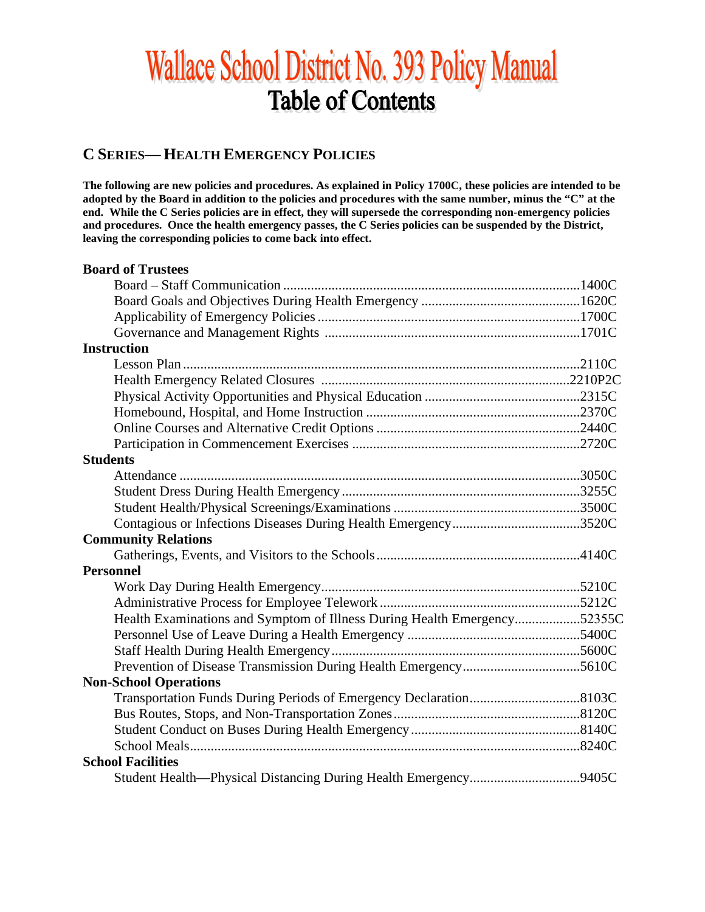# Wallace School District No. 393 Policy Manual **Table of Contents**

# **C SERIES— HEALTH EMERGENCY POLICIES**

**The following are new policies and procedures. As explained in Policy 1700C, these policies are intended to be adopted by the Board in addition to the policies and procedures with the same number, minus the "C" at the end. While the C Series policies are in effect, they will supersede the corresponding non-emergency policies and procedures. Once the health emergency passes, the C Series policies can be suspended by the District, leaving the corresponding policies to come back into effect.**

| <b>Board of Trustees</b>                                                 |  |
|--------------------------------------------------------------------------|--|
|                                                                          |  |
|                                                                          |  |
|                                                                          |  |
|                                                                          |  |
| <b>Instruction</b>                                                       |  |
|                                                                          |  |
|                                                                          |  |
|                                                                          |  |
|                                                                          |  |
|                                                                          |  |
|                                                                          |  |
| <b>Students</b>                                                          |  |
|                                                                          |  |
|                                                                          |  |
|                                                                          |  |
|                                                                          |  |
| <b>Community Relations</b>                                               |  |
|                                                                          |  |
| <b>Personnel</b>                                                         |  |
|                                                                          |  |
|                                                                          |  |
| Health Examinations and Symptom of Illness During Health Emergency52355C |  |
|                                                                          |  |
|                                                                          |  |
|                                                                          |  |
| <b>Non-School Operations</b>                                             |  |
|                                                                          |  |
|                                                                          |  |
|                                                                          |  |
|                                                                          |  |
| <b>School Facilities</b>                                                 |  |
|                                                                          |  |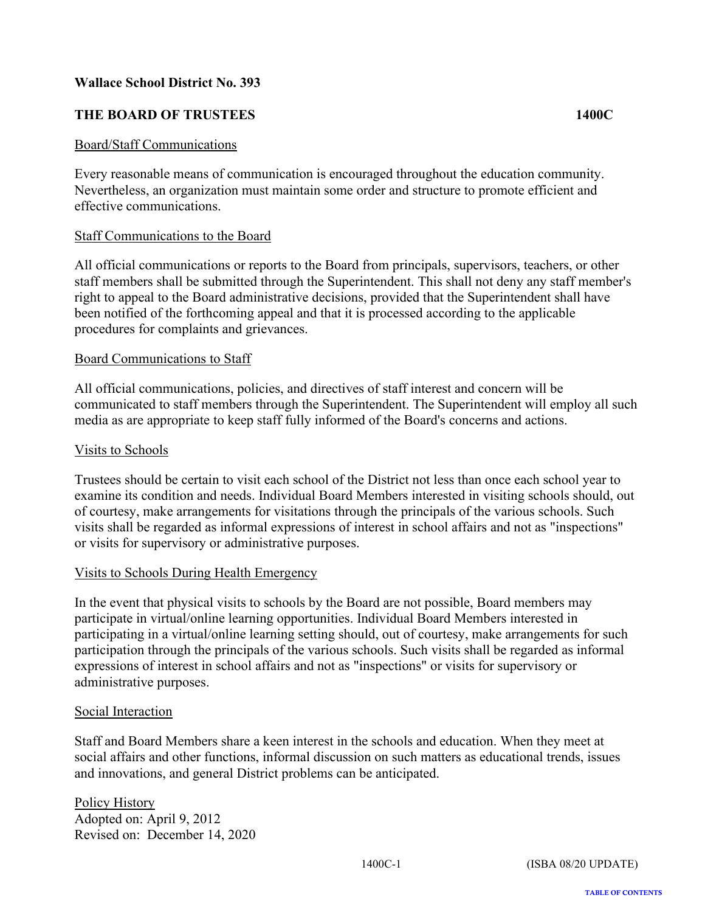# <span id="page-1-0"></span>**THE BOARD OF TRUSTEES 1400C**

#### Board/Staff Communications

Every reasonable means of communication is encouraged throughout the education community. Nevertheless, an organization must maintain some order and structure to promote efficient and effective communications.

#### Staff Communications to the Board

All official communications or reports to the Board from principals, supervisors, teachers, or other staff members shall be submitted through the Superintendent. This shall not deny any staff member's right to appeal to the Board administrative decisions, provided that the Superintendent shall have been notified of the forthcoming appeal and that it is processed according to the applicable procedures for complaints and grievances.

#### Board Communications to Staff

All official communications, policies, and directives of staff interest and concern will be communicated to staff members through the Superintendent. The Superintendent will employ all such media as are appropriate to keep staff fully informed of the Board's concerns and actions.

## Visits to Schools

Trustees should be certain to visit each school of the District not less than once each school year to examine its condition and needs. Individual Board Members interested in visiting schools should, out of courtesy, make arrangements for visitations through the principals of the various schools. Such visits shall be regarded as informal expressions of interest in school affairs and not as "inspections" or visits for supervisory or administrative purposes.

#### Visits to Schools During Health Emergency

In the event that physical visits to schools by the Board are not possible, Board members may participate in virtual/online learning opportunities. Individual Board Members interested in participating in a virtual/online learning setting should, out of courtesy, make arrangements for such participation through the principals of the various schools. Such visits shall be regarded as informal expressions of interest in school affairs and not as "inspections" or visits for supervisory or administrative purposes.

#### Social Interaction

Staff and Board Members share a keen interest in the schools and education. When they meet at social affairs and other functions, informal discussion on such matters as educational trends, issues and innovations, and general District problems can be anticipated.

Policy History Adopted on: April 9, 2012 Revised on: December 14, 2020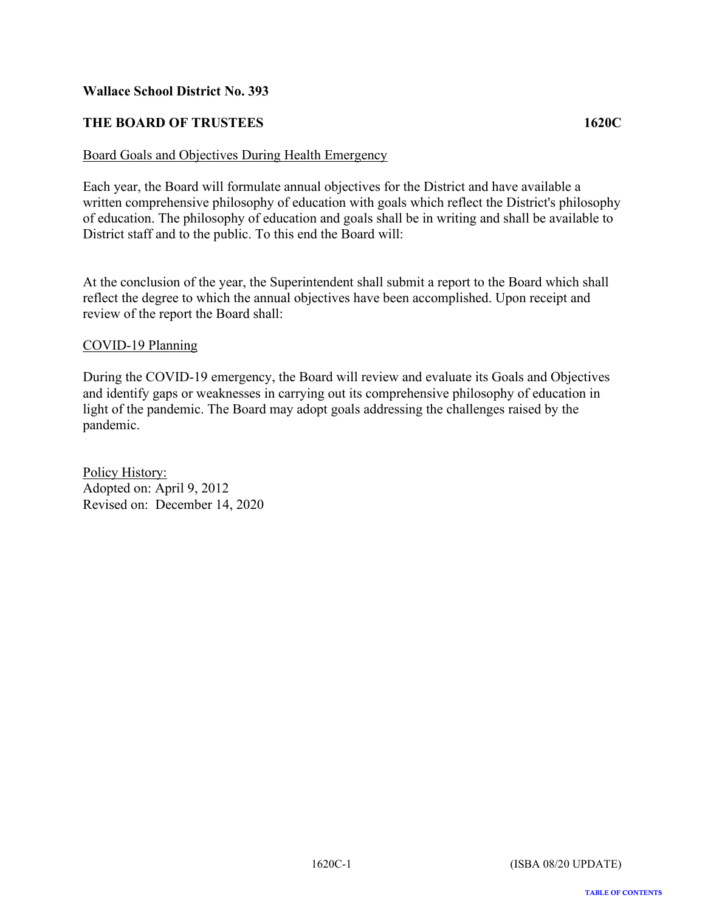# <span id="page-2-0"></span>**THE BOARD OF TRUSTEES 1620C**

#### Board Goals and Objectives During Health Emergency

Each year, the Board will formulate annual objectives for the District and have available a written comprehensive philosophy of education with goals which reflect the District's philosophy of education. The philosophy of education and goals shall be in writing and shall be available to District staff and to the public. To this end the Board will:

At the conclusion of the year, the Superintendent shall submit a report to the Board which shall reflect the degree to which the annual objectives have been accomplished. Upon receipt and review of the report the Board shall:

#### COVID-19 Planning

During the COVID-19 emergency, the Board will review and evaluate its Goals and Objectives and identify gaps or weaknesses in carrying out its comprehensive philosophy of education in light of the pandemic. The Board may adopt goals addressing the challenges raised by the pandemic.

Policy History: Adopted on: April 9, 2012 Revised on: December 14, 2020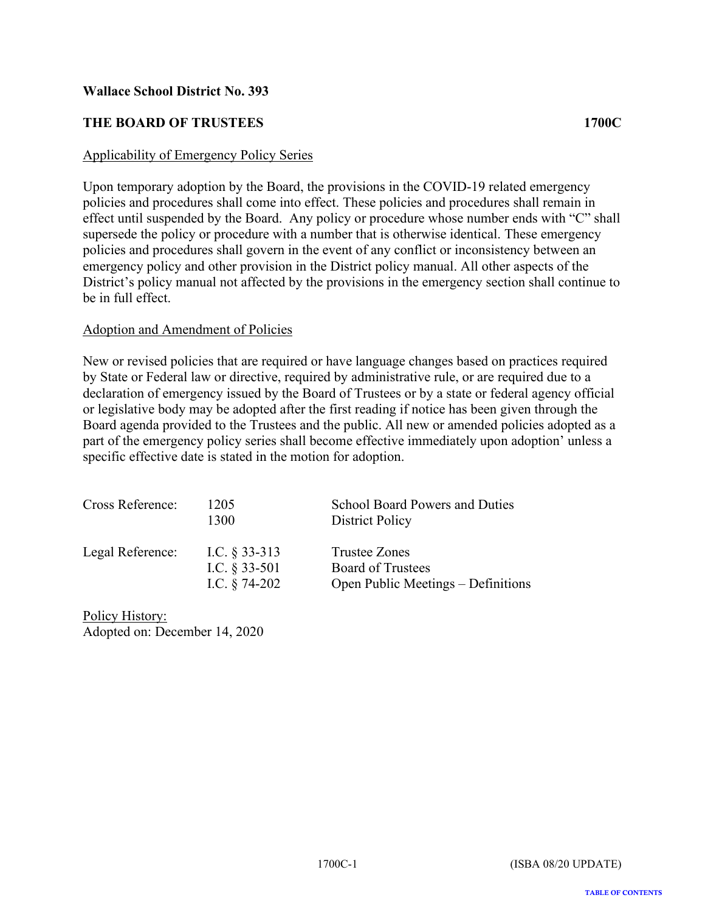# <span id="page-3-0"></span>**THE BOARD OF TRUSTEES 1700C**

#### Applicability of Emergency Policy Series

Upon temporary adoption by the Board, the provisions in the COVID-19 related emergency policies and procedures shall come into effect. These policies and procedures shall remain in effect until suspended by the Board. Any policy or procedure whose number ends with "C" shall supersede the policy or procedure with a number that is otherwise identical. These emergency policies and procedures shall govern in the event of any conflict or inconsistency between an emergency policy and other provision in the District policy manual. All other aspects of the District's policy manual not affected by the provisions in the emergency section shall continue to be in full effect.

#### Adoption and Amendment of Policies

New or revised policies that are required or have language changes based on practices required by State or Federal law or directive, required by administrative rule, or are required due to a declaration of emergency issued by the Board of Trustees or by a state or federal agency official or legislative body may be adopted after the first reading if notice has been given through the Board agenda provided to the Trustees and the public. All new or amended policies adopted as a part of the emergency policy series shall become effective immediately upon adoption' unless a specific effective date is stated in the motion for adoption.

| Cross Reference: | 1205<br>1300                                           | <b>School Board Powers and Duties</b><br>District Policy                        |
|------------------|--------------------------------------------------------|---------------------------------------------------------------------------------|
| Legal Reference: | I.C. $\S$ 33-313<br>I.C. $§$ 33-501<br>I.C. $§$ 74-202 | Trustee Zones<br><b>Board of Trustees</b><br>Open Public Meetings - Definitions |

Policy History: Adopted on: December 14, 2020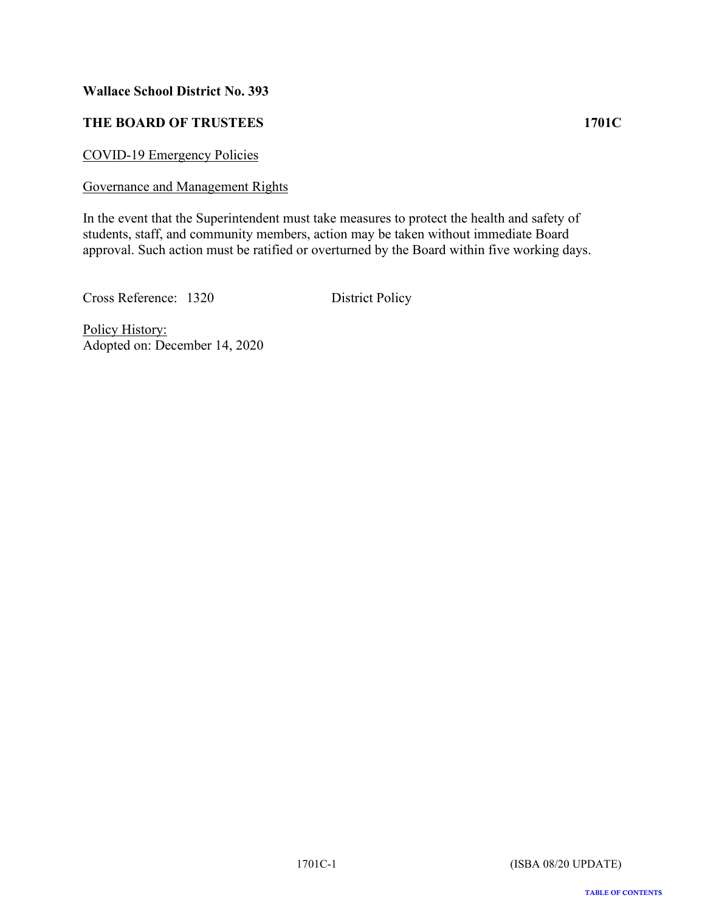# <span id="page-4-0"></span>**THE BOARD OF TRUSTEES 1701C**

COVID-19 Emergency Policies

#### Governance and Management Rights

In the event that the Superintendent must take measures to protect the health and safety of students, staff, and community members, action may be taken without immediate Board approval. Such action must be ratified or overturned by the Board within five working days.

Cross Reference: 1320 District Policy

Policy History: Adopted on: December 14, 2020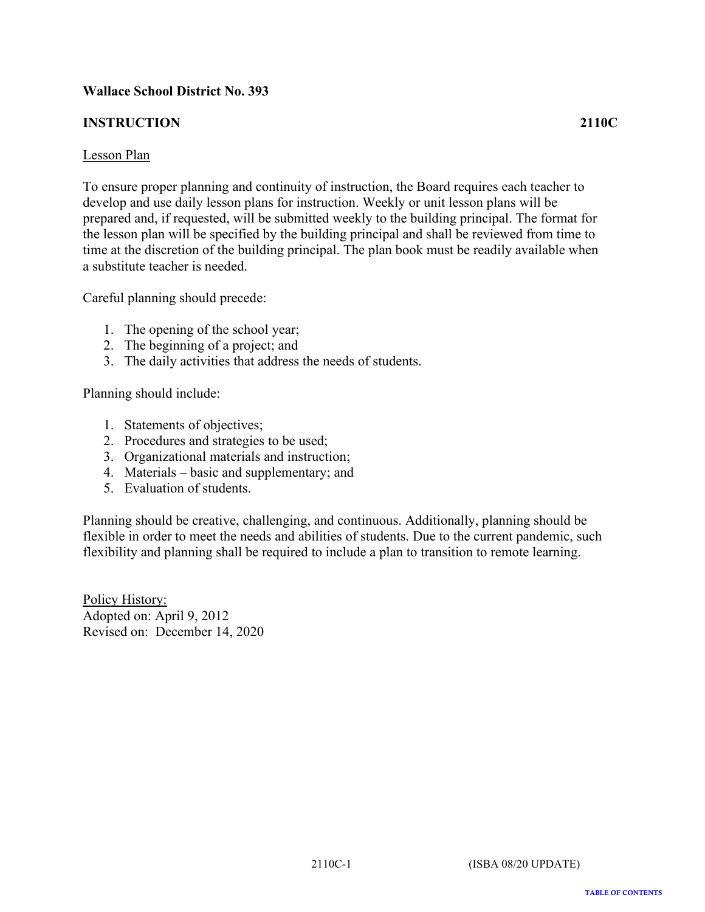# <span id="page-5-0"></span>**INSTRUCTION 2110C**

#### Lesson Plan

To ensure proper planning and continuity of instruction, the Board requires each teacher to develop and use daily lesson plans for instruction. Weekly or unit lesson plans will be prepared and, if requested, will be submitted weekly to the building principal. The format for the lesson plan will be specified by the building principal and shall be reviewed from time to time at the discretion of the building principal. The plan book must be readily available when a substitute teacher is needed.

Careful planning should precede:

- 1. The opening of the school year;
- 2. The beginning of a project; and
- 3. The daily activities that address the needs of students.

Planning should include:

- 1. Statements of objectives;
- 2. Procedures and strategies to be used;
- 3. Organizational materials and instruction;
- 4. Materials basic and supplementary; and
- 5. Evaluation of students.

Planning should be creative, challenging, and continuous. Additionally, planning should be flexible in order to meet the needs and abilities of students. Due to the current pandemic, such flexibility and planning shall be required to include a plan to transition to remote learning.

Policy History: Adopted on: April 9, 2012 Revised on: December 14, 2020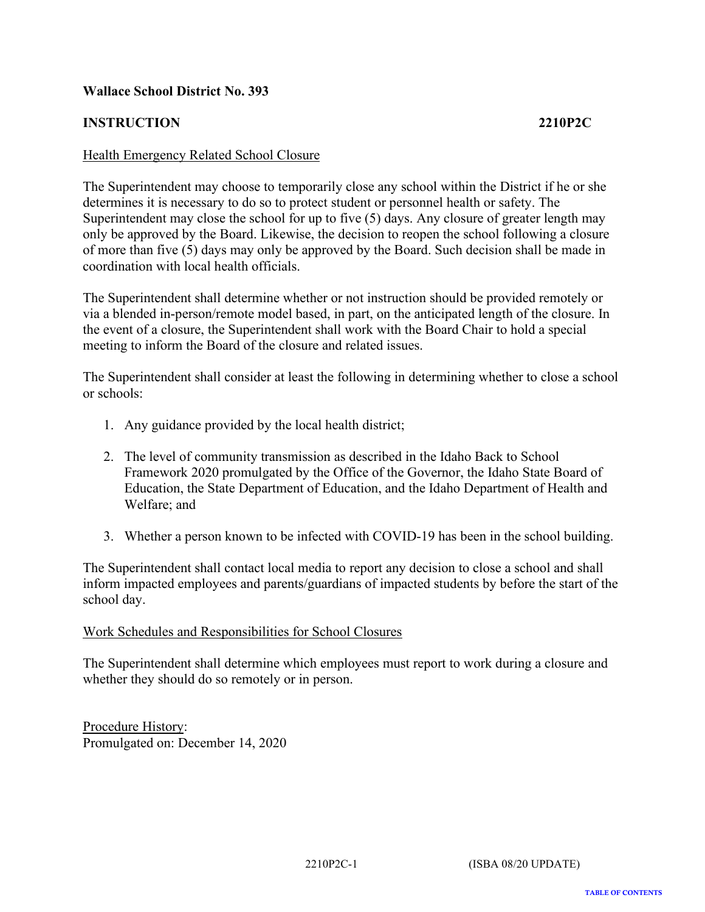# <span id="page-6-0"></span>**INSTRUCTION 2210P2C**

#### Health Emergency Related School Closure

The Superintendent may choose to temporarily close any school within the District if he or she determines it is necessary to do so to protect student or personnel health or safety. The Superintendent may close the school for up to five (5) days. Any closure of greater length may only be approved by the Board. Likewise, the decision to reopen the school following a closure of more than five (5) days may only be approved by the Board. Such decision shall be made in coordination with local health officials.

The Superintendent shall determine whether or not instruction should be provided remotely or via a blended in-person/remote model based, in part, on the anticipated length of the closure. In the event of a closure, the Superintendent shall work with the Board Chair to hold a special meeting to inform the Board of the closure and related issues.

The Superintendent shall consider at least the following in determining whether to close a school or schools:

- 1. Any guidance provided by the local health district;
- 2. The level of community transmission as described in the Idaho Back to School Framework 2020 promulgated by the Office of the Governor, the Idaho State Board of Education, the State Department of Education, and the Idaho Department of Health and Welfare; and
- 3. Whether a person known to be infected with COVID-19 has been in the school building.

The Superintendent shall contact local media to report any decision to close a school and shall inform impacted employees and parents/guardians of impacted students by before the start of the school day.

#### Work Schedules and Responsibilities for School Closures

The Superintendent shall determine which employees must report to work during a closure and whether they should do so remotely or in person.

Procedure History: Promulgated on: December 14, 2020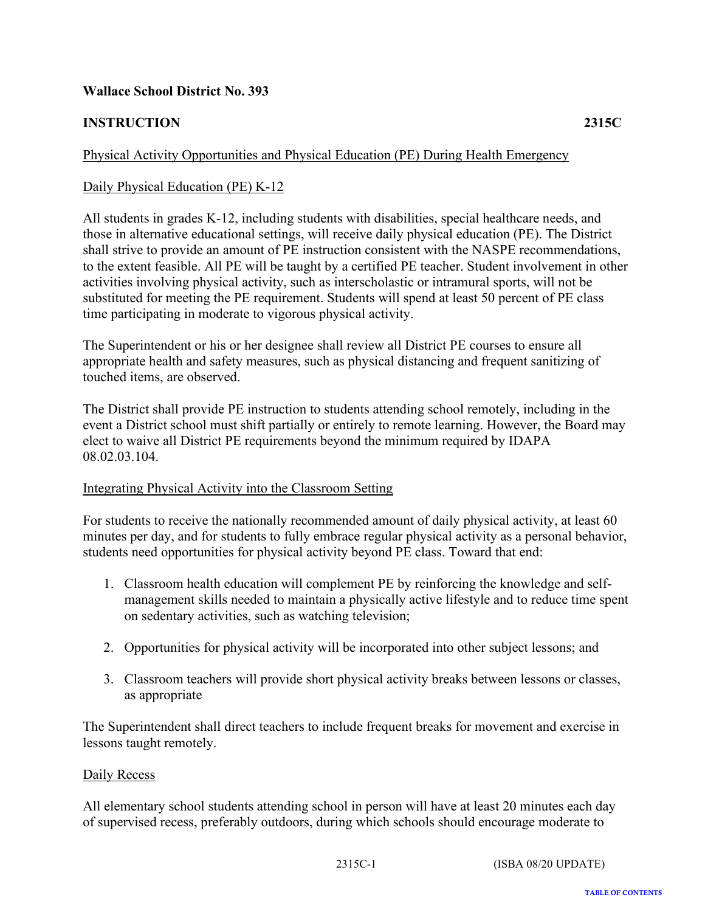# <span id="page-7-0"></span>**INSTRUCTION 2315C**

# Physical Activity Opportunities and Physical Education (PE) During Health Emergency

# Daily Physical Education (PE) K-12

All students in grades K-12, including students with disabilities, special healthcare needs, and those in alternative educational settings, will receive daily physical education (PE). The District shall strive to provide an amount of PE instruction consistent with the NASPE recommendations, to the extent feasible. All PE will be taught by a certified PE teacher. Student involvement in other activities involving physical activity, such as interscholastic or intramural sports, will not be substituted for meeting the PE requirement. Students will spend at least 50 percent of PE class time participating in moderate to vigorous physical activity.

The Superintendent or his or her designee shall review all District PE courses to ensure all appropriate health and safety measures, such as physical distancing and frequent sanitizing of touched items, are observed.

The District shall provide PE instruction to students attending school remotely, including in the event a District school must shift partially or entirely to remote learning. However, the Board may elect to waive all District PE requirements beyond the minimum required by IDAPA 08.02.03.104.

#### Integrating Physical Activity into the Classroom Setting

For students to receive the nationally recommended amount of daily physical activity, at least 60 minutes per day, and for students to fully embrace regular physical activity as a personal behavior, students need opportunities for physical activity beyond PE class. Toward that end:

- 1. Classroom health education will complement PE by reinforcing the knowledge and selfmanagement skills needed to maintain a physically active lifestyle and to reduce time spent on sedentary activities, such as watching television;
- 2. Opportunities for physical activity will be incorporated into other subject lessons; and
- 3. Classroom teachers will provide short physical activity breaks between lessons or classes, as appropriate

The Superintendent shall direct teachers to include frequent breaks for movement and exercise in lessons taught remotely.

#### Daily Recess

All elementary school students attending school in person will have at least 20 minutes each day of supervised recess, preferably outdoors, during which schools should encourage moderate to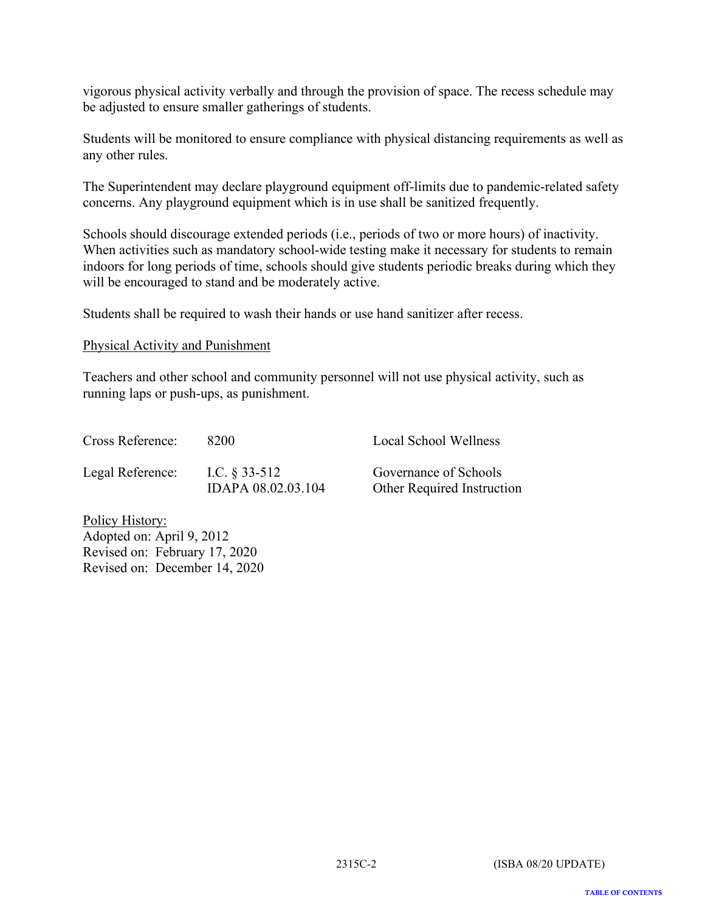vigorous physical activity verbally and through the provision of space. The recess schedule may be adjusted to ensure smaller gatherings of students.

Students will be monitored to ensure compliance with physical distancing requirements as well as any other rules.

The Superintendent may declare playground equipment off-limits due to pandemic-related safety concerns. Any playground equipment which is in use shall be sanitized frequently.

Schools should discourage extended periods (i.e., periods of two or more hours) of inactivity. When activities such as mandatory school-wide testing make it necessary for students to remain indoors for long periods of time, schools should give students periodic breaks during which they will be encouraged to stand and be moderately active.

Students shall be required to wash their hands or use hand sanitizer after recess.

#### Physical Activity and Punishment

Teachers and other school and community personnel will not use physical activity, such as running laps or push-ups, as punishment.

| Cross Reference: | 8200                                   | Local School Wellness                               |
|------------------|----------------------------------------|-----------------------------------------------------|
| Legal Reference: | I.C. $\S$ 33-512<br>IDAPA 08.02.03.104 | Governance of Schools<br>Other Required Instruction |
|                  |                                        |                                                     |

Policy History: Adopted on: April 9, 2012 Revised on: February 17, 2020 Revised on: December 14, 2020

**TABLE OF CONTENTS**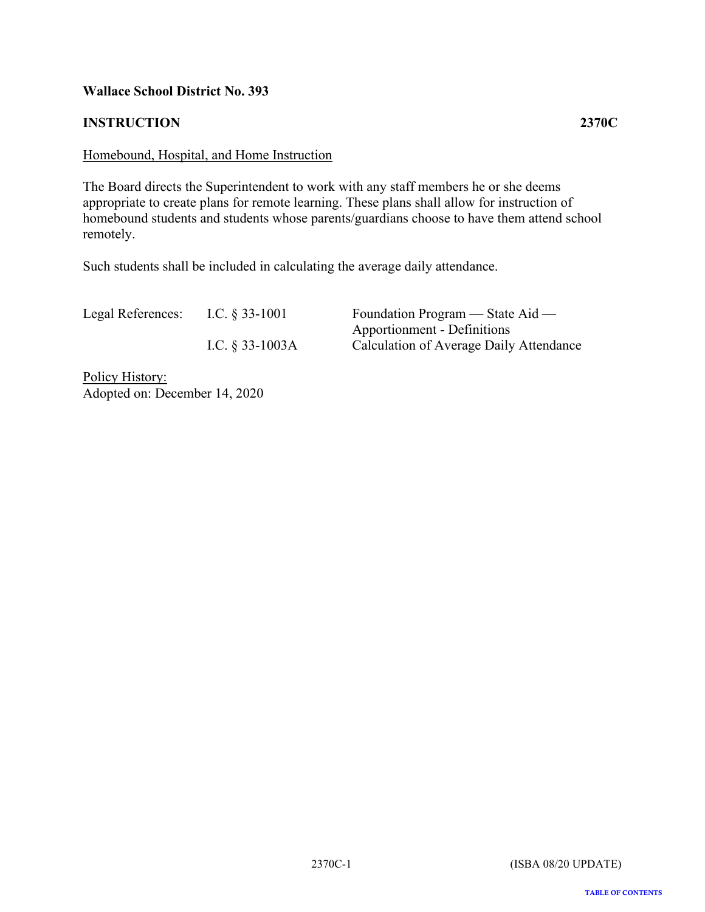# <span id="page-9-0"></span>**INSTRUCTION 2370C**

# Homebound, Hospital, and Home Instruction

The Board directs the Superintendent to work with any staff members he or she deems appropriate to create plans for remote learning. These plans shall allow for instruction of homebound students and students whose parents/guardians choose to have them attend school remotely.

Such students shall be included in calculating the average daily attendance.

| Legal References: | I.C. $\S$ 33-1001 | Foundation Program — State Aid —        |
|-------------------|-------------------|-----------------------------------------|
|                   |                   | Apportionment - Definitions             |
|                   | I.C. $§$ 33-1003A | Calculation of Average Daily Attendance |
|                   |                   |                                         |

Policy History: Adopted on: December 14, 2020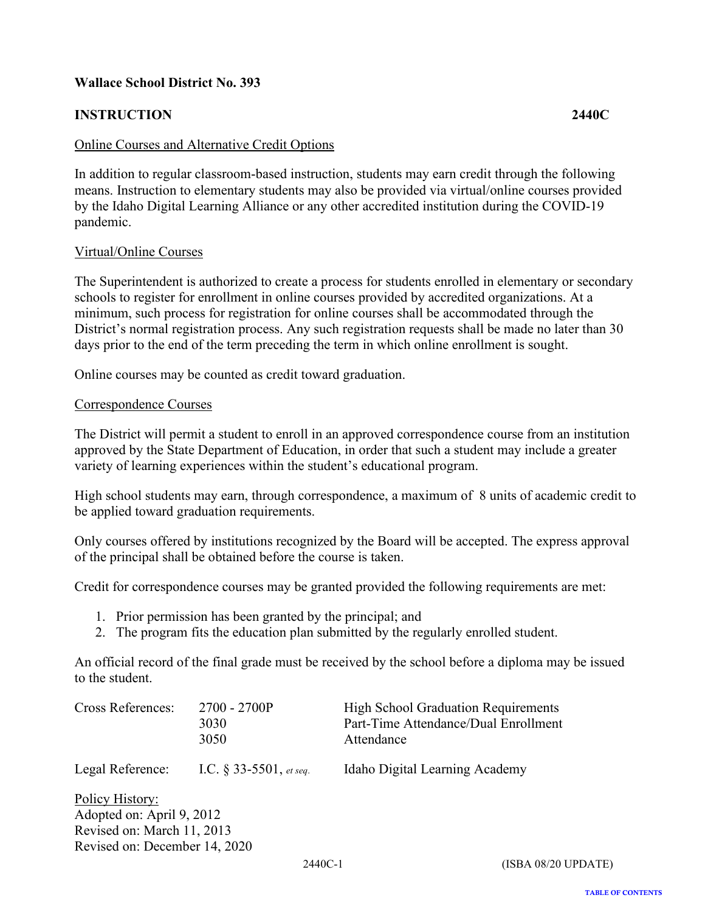# <span id="page-10-0"></span>**INSTRUCTION 2440C**

#### Online Courses and Alternative Credit Options

In addition to regular classroom-based instruction, students may earn credit through the following means. Instruction to elementary students may also be provided via virtual/online courses provided by the Idaho Digital Learning Alliance or any other accredited institution during the COVID-19 pandemic.

#### Virtual/Online Courses

The Superintendent is authorized to create a process for students enrolled in elementary or secondary schools to register for enrollment in online courses provided by accredited organizations. At a minimum, such process for registration for online courses shall be accommodated through the District's normal registration process. Any such registration requests shall be made no later than 30 days prior to the end of the term preceding the term in which online enrollment is sought.

Online courses may be counted as credit toward graduation.

#### Correspondence Courses

The District will permit a student to enroll in an approved correspondence course from an institution approved by the State Department of Education, in order that such a student may include a greater variety of learning experiences within the student's educational program.

High school students may earn, through correspondence, a maximum of 8 units of academic credit to be applied toward graduation requirements.

Only courses offered by institutions recognized by the Board will be accepted. The express approval of the principal shall be obtained before the course is taken.

Credit for correspondence courses may be granted provided the following requirements are met:

- 1. Prior permission has been granted by the principal; and
- 2. The program fits the education plan submitted by the regularly enrolled student.

An official record of the final grade must be received by the school before a diploma may be issued to the student.

| Cross References:             | 2700 - 2700P<br>3030<br>3050 | <b>High School Graduation Requirements</b><br>Part-Time Attendance/Dual Enrollment<br>Attendance |
|-------------------------------|------------------------------|--------------------------------------------------------------------------------------------------|
| Legal Reference:              | I.C. $\S$ 33-5501, et seq.   | Idaho Digital Learning Academy                                                                   |
| Policy History:               |                              |                                                                                                  |
| Adopted on: April 9, 2012     |                              |                                                                                                  |
| Revised on: March 11, 2013    |                              |                                                                                                  |
| Revised on: December 14, 2020 |                              |                                                                                                  |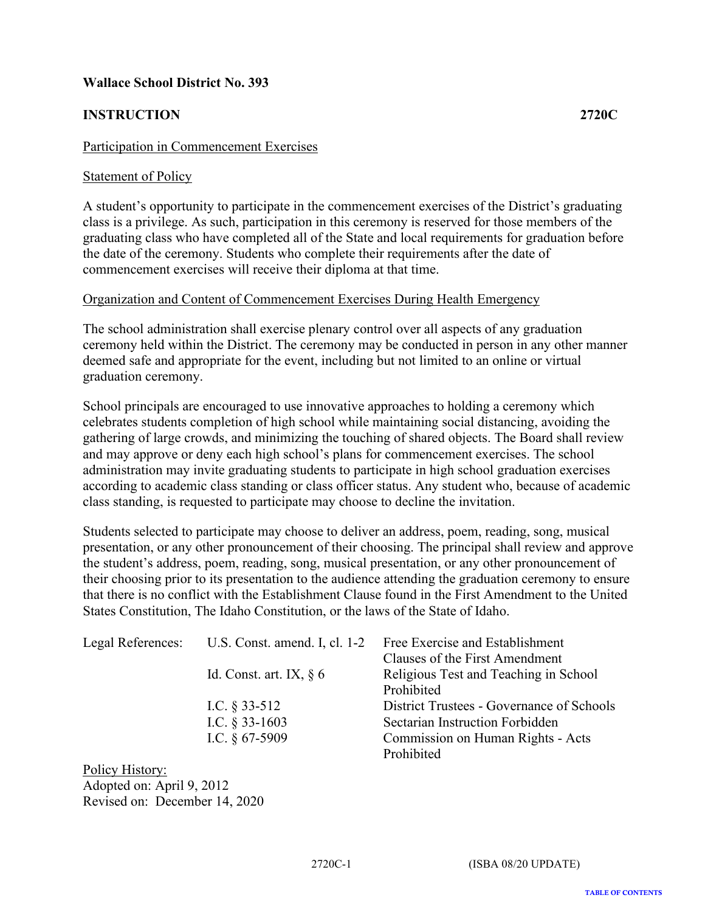# <span id="page-11-0"></span>**INSTRUCTION 2720C**

#### Participation in Commencement Exercises

#### Statement of Policy

A student's opportunity to participate in the commencement exercises of the District's graduating class is a privilege. As such, participation in this ceremony is reserved for those members of the graduating class who have completed all of the State and local requirements for graduation before the date of the ceremony. Students who complete their requirements after the date of commencement exercises will receive their diploma at that time.

#### Organization and Content of Commencement Exercises During Health Emergency

The school administration shall exercise plenary control over all aspects of any graduation ceremony held within the District. The ceremony may be conducted in person in any other manner deemed safe and appropriate for the event, including but not limited to an online or virtual graduation ceremony.

School principals are encouraged to use innovative approaches to holding a ceremony which celebrates students completion of high school while maintaining social distancing, avoiding the gathering of large crowds, and minimizing the touching of shared objects. The Board shall review and may approve or deny each high school's plans for commencement exercises. The school administration may invite graduating students to participate in high school graduation exercises according to academic class standing or class officer status. Any student who, because of academic class standing, is requested to participate may choose to decline the invitation.

Students selected to participate may choose to deliver an address, poem, reading, song, musical presentation, or any other pronouncement of their choosing. The principal shall review and approve the student's address, poem, reading, song, musical presentation, or any other pronouncement of their choosing prior to its presentation to the audience attending the graduation ceremony to ensure that there is no conflict with the Establishment Clause found in the First Amendment to the United States Constitution, The Idaho Constitution, or the laws of the State of Idaho.

|                            | Legal References: U.S. Const. amend. I, cl. 1-2 Free Exercise and Establishment |
|----------------------------|---------------------------------------------------------------------------------|
|                            | Clauses of the First Amendment                                                  |
| Id. Const. art. IX, $\S$ 6 | Religious Test and Teaching in School                                           |
|                            | Prohibited                                                                      |
| I.C. $\S$ 33-512           | District Trustees - Governance of Schools                                       |
| I.C. $\S$ 33-1603          | Sectarian Instruction Forbidden                                                 |
| I.C. $§$ 67-5909           | Commission on Human Rights - Acts                                               |
|                            | Prohibited                                                                      |
|                            |                                                                                 |

Policy History: Adopted on: April 9, 2012 Revised on: December 14, 2020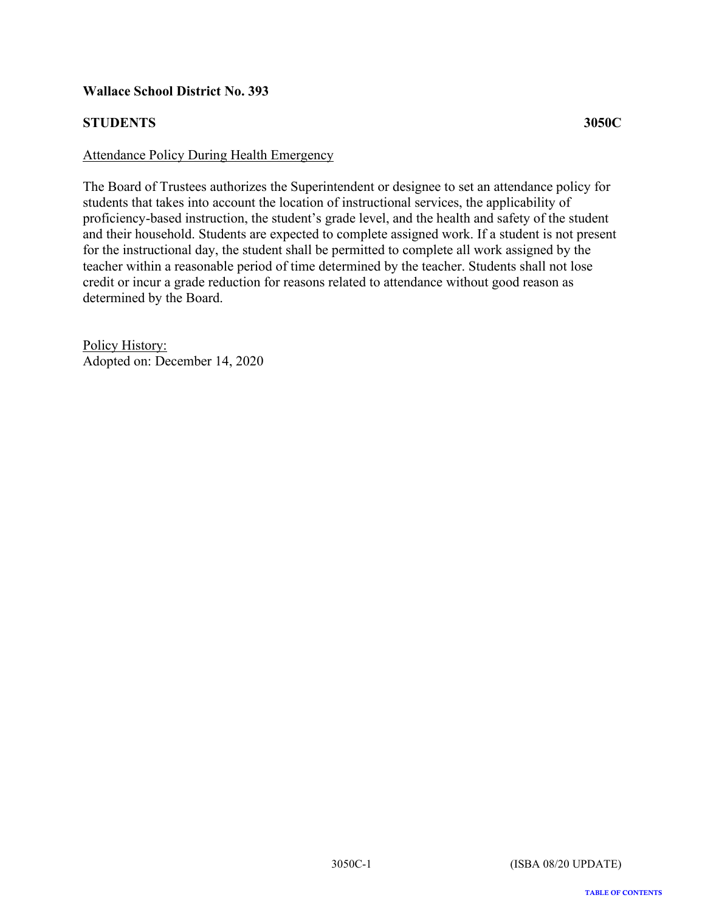# <span id="page-12-0"></span>**STUDENTS 3050C**

## Attendance Policy During Health Emergency

The Board of Trustees authorizes the Superintendent or designee to set an attendance policy for students that takes into account the location of instructional services, the applicability of proficiency-based instruction, the student's grade level, and the health and safety of the student and their household. Students are expected to complete assigned work. If a student is not present for the instructional day, the student shall be permitted to complete all work assigned by the teacher within a reasonable period of time determined by the teacher. Students shall not lose credit or incur a grade reduction for reasons related to attendance without good reason as determined by the Board.

Policy History: Adopted on: December 14, 2020

**TABLE OF CONTENTS**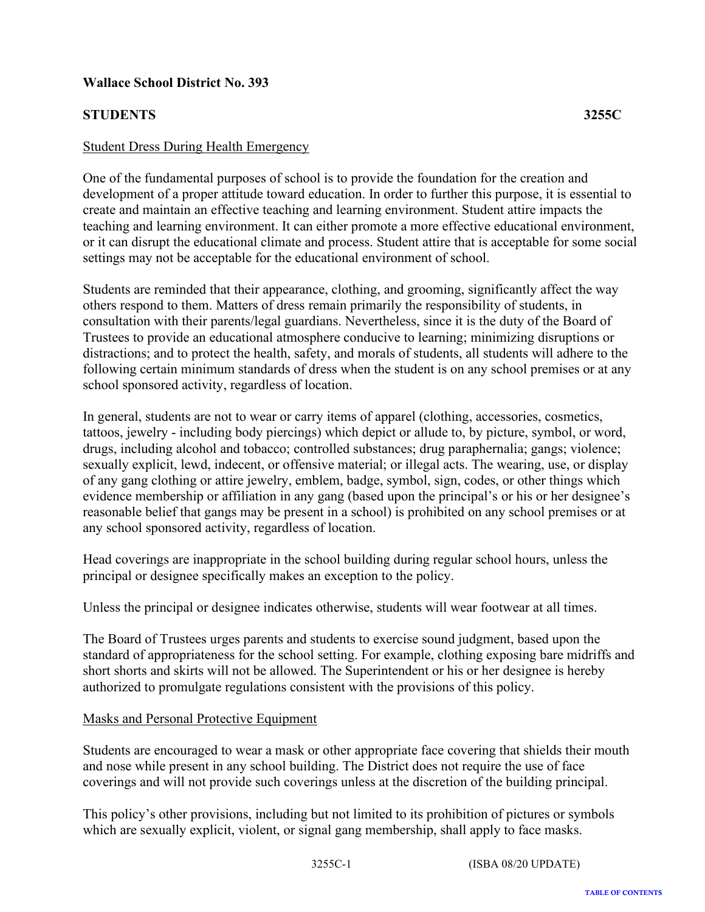# <span id="page-13-0"></span>**STUDENTS 3255C**

## Student Dress During Health Emergency

One of the fundamental purposes of school is to provide the foundation for the creation and development of a proper attitude toward education. In order to further this purpose, it is essential to create and maintain an effective teaching and learning environment. Student attire impacts the teaching and learning environment. It can either promote a more effective educational environment, or it can disrupt the educational climate and process. Student attire that is acceptable for some social settings may not be acceptable for the educational environment of school.

Students are reminded that their appearance, clothing, and grooming, significantly affect the way others respond to them. Matters of dress remain primarily the responsibility of students, in consultation with their parents/legal guardians. Nevertheless, since it is the duty of the Board of Trustees to provide an educational atmosphere conducive to learning; minimizing disruptions or distractions; and to protect the health, safety, and morals of students, all students will adhere to the following certain minimum standards of dress when the student is on any school premises or at any school sponsored activity, regardless of location.

In general, students are not to wear or carry items of apparel (clothing, accessories, cosmetics, tattoos, jewelry - including body piercings) which depict or allude to, by picture, symbol, or word, drugs, including alcohol and tobacco; controlled substances; drug paraphernalia; gangs; violence; sexually explicit, lewd, indecent, or offensive material; or illegal acts. The wearing, use, or display of any gang clothing or attire jewelry, emblem, badge, symbol, sign, codes, or other things which evidence membership or affiliation in any gang (based upon the principal's or his or her designee's reasonable belief that gangs may be present in a school) is prohibited on any school premises or at any school sponsored activity, regardless of location.

Head coverings are inappropriate in the school building during regular school hours, unless the principal or designee specifically makes an exception to the policy.

Unless the principal or designee indicates otherwise, students will wear footwear at all times.

The Board of Trustees urges parents and students to exercise sound judgment, based upon the standard of appropriateness for the school setting. For example, clothing exposing bare midriffs and short shorts and skirts will not be allowed. The Superintendent or his or her designee is hereby authorized to promulgate regulations consistent with the provisions of this policy.

#### Masks and Personal Protective Equipment

Students are encouraged to wear a mask or other appropriate face covering that shields their mouth and nose while present in any school building. The District does not require the use of face coverings and will not provide such coverings unless at the discretion of the building principal.

This policy's other provisions, including but not limited to its prohibition of pictures or symbols which are sexually explicit, violent, or signal gang membership, shall apply to face masks.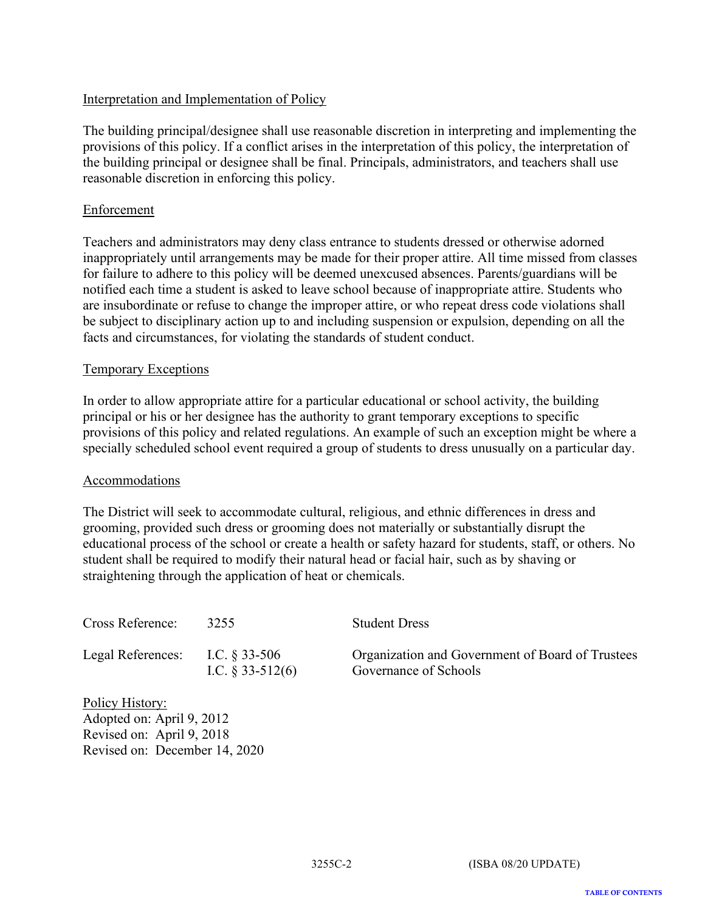# Interpretation and Implementation of Policy

The building principal/designee shall use reasonable discretion in interpreting and implementing the provisions of this policy. If a conflict arises in the interpretation of this policy, the interpretation of the building principal or designee shall be final. Principals, administrators, and teachers shall use reasonable discretion in enforcing this policy.

# Enforcement

Teachers and administrators may deny class entrance to students dressed or otherwise adorned inappropriately until arrangements may be made for their proper attire. All time missed from classes for failure to adhere to this policy will be deemed unexcused absences. Parents/guardians will be notified each time a student is asked to leave school because of inappropriate attire. Students who are insubordinate or refuse to change the improper attire, or who repeat dress code violations shall be subject to disciplinary action up to and including suspension or expulsion, depending on all the facts and circumstances, for violating the standards of student conduct.

# Temporary Exceptions

In order to allow appropriate attire for a particular educational or school activity, the building principal or his or her designee has the authority to grant temporary exceptions to specific provisions of this policy and related regulations. An example of such an exception might be where a specially scheduled school event required a group of students to dress unusually on a particular day.

#### Accommodations

The District will seek to accommodate cultural, religious, and ethnic differences in dress and grooming, provided such dress or grooming does not materially or substantially disrupt the educational process of the school or create a health or safety hazard for students, staff, or others. No student shall be required to modify their natural head or facial hair, such as by shaving or straightening through the application of heat or chemicals.

| Cross Reference:                                                          | 3255                                   | <b>Student Dress</b>                                                      |
|---------------------------------------------------------------------------|----------------------------------------|---------------------------------------------------------------------------|
| Legal References:                                                         | I.C. $\S 33-506$<br>I.C. $§$ 33-512(6) | Organization and Government of Board of Trustees<br>Governance of Schools |
| Policy History:<br>Adopted on: April 9, 2012<br>Revised on: April 9, 2018 |                                        |                                                                           |

Revised on: April 9, 2018 Revised on: December 14, 2020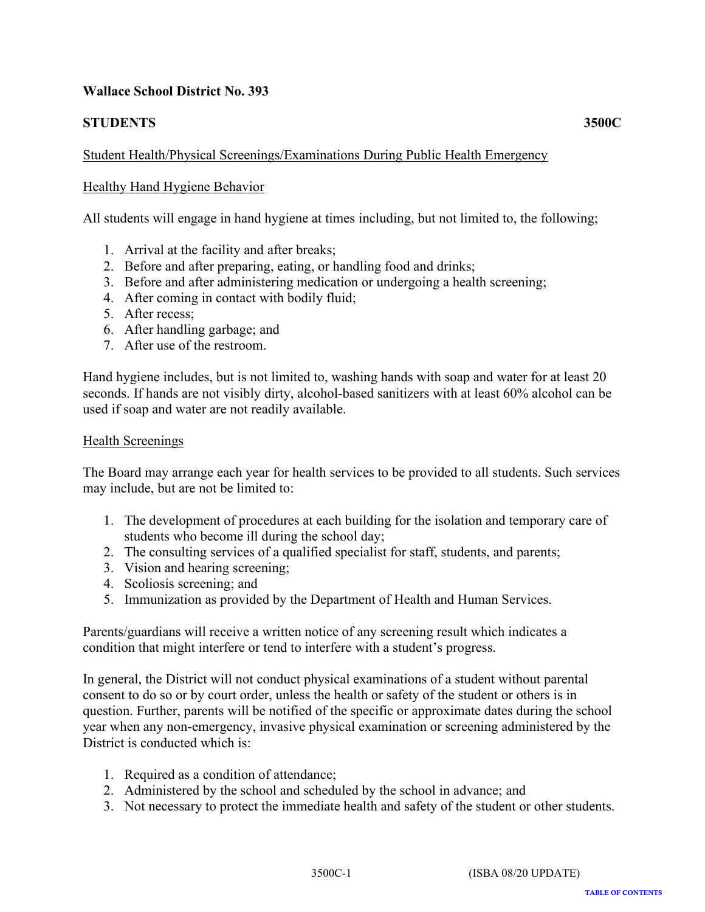# <span id="page-15-0"></span>**STUDENTS 3500C**

# Student Health/Physical Screenings/Examinations During Public Health Emergency

# Healthy Hand Hygiene Behavior

All students will engage in hand hygiene at times including, but not limited to, the following;

- 1. Arrival at the facility and after breaks;
- 2. Before and after preparing, eating, or handling food and drinks;
- 3. Before and after administering medication or undergoing a health screening;
- 4. After coming in contact with bodily fluid;
- 5. After recess;
- 6. After handling garbage; and
- 7. After use of the restroom.

Hand hygiene includes, but is not limited to, washing hands with soap and water for at least 20 seconds. If hands are not visibly dirty, alcohol-based sanitizers with at least 60% alcohol can be used if soap and water are not readily available.

#### Health Screenings

The Board may arrange each year for health services to be provided to all students. Such services may include, but are not be limited to:

- 1. The development of procedures at each building for the isolation and temporary care of students who become ill during the school day;
- 2. The consulting services of a qualified specialist for staff, students, and parents;
- 3. Vision and hearing screening;
- 4. Scoliosis screening; and
- 5. Immunization as provided by the Department of Health and Human Services.

Parents/guardians will receive a written notice of any screening result which indicates a condition that might interfere or tend to interfere with a student's progress.

In general, the District will not conduct physical examinations of a student without parental consent to do so or by court order, unless the health or safety of the student or others is in question. Further, parents will be notified of the specific or approximate dates during the school year when any non-emergency, invasive physical examination or screening administered by the District is conducted which is:

- 1. Required as a condition of attendance;
- 2. Administered by the school and scheduled by the school in advance; and
- 3. Not necessary to protect the immediate health and safety of the student or other students.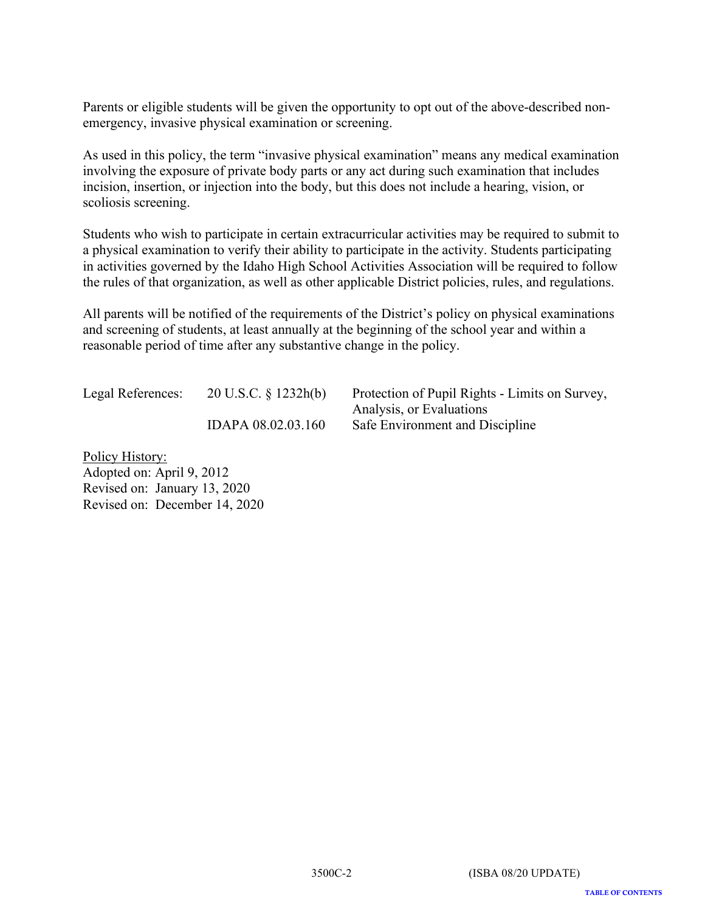Parents or eligible students will be given the opportunity to opt out of the above-described nonemergency, invasive physical examination or screening.

As used in this policy, the term "invasive physical examination" means any medical examination involving the exposure of private body parts or any act during such examination that includes incision, insertion, or injection into the body, but this does not include a hearing, vision, or scoliosis screening.

Students who wish to participate in certain extracurricular activities may be required to submit to a physical examination to verify their ability to participate in the activity. Students participating in activities governed by the Idaho High School Activities Association will be required to follow the rules of that organization, as well as other applicable District policies, rules, and regulations.

All parents will be notified of the requirements of the District's policy on physical examinations and screening of students, at least annually at the beginning of the school year and within a reasonable period of time after any substantive change in the policy.

Legal References: 20 U.S.C. § 1232h(b) Protection of Pupil Rights - Limits on Survey,

Analysis, or Evaluations IDAPA 08.02.03.160 Safe Environment and Discipline

Policy History: Adopted on: April 9, 2012 Revised on: January 13, 2020 Revised on: December 14, 2020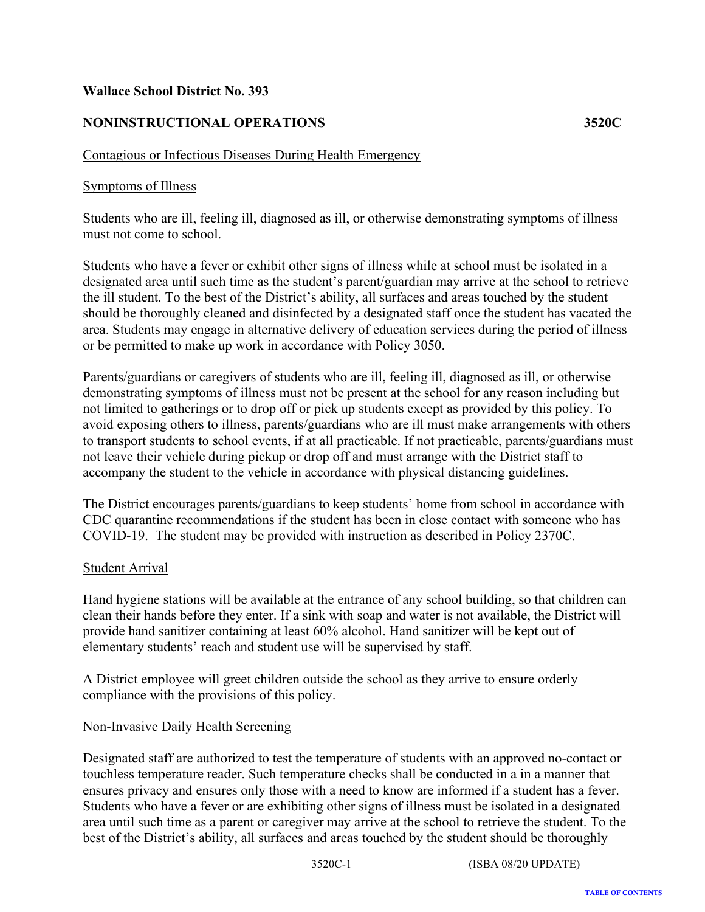# <span id="page-17-0"></span>**NONINSTRUCTIONAL OPERATIONS 3520C**

# Contagious or Infectious Diseases During Health Emergency

## Symptoms of Illness

Students who are ill, feeling ill, diagnosed as ill, or otherwise demonstrating symptoms of illness must not come to school.

Students who have a fever or exhibit other signs of illness while at school must be isolated in a designated area until such time as the student's parent/guardian may arrive at the school to retrieve the ill student. To the best of the District's ability, all surfaces and areas touched by the student should be thoroughly cleaned and disinfected by a designated staff once the student has vacated the area. Students may engage in alternative delivery of education services during the period of illness or be permitted to make up work in accordance with Policy 3050.

Parents/guardians or caregivers of students who are ill, feeling ill, diagnosed as ill, or otherwise demonstrating symptoms of illness must not be present at the school for any reason including but not limited to gatherings or to drop off or pick up students except as provided by this policy. To avoid exposing others to illness, parents/guardians who are ill must make arrangements with others to transport students to school events, if at all practicable. If not practicable, parents/guardians must not leave their vehicle during pickup or drop off and must arrange with the District staff to accompany the student to the vehicle in accordance with physical distancing guidelines.

The District encourages parents/guardians to keep students' home from school in accordance with CDC quarantine recommendations if the student has been in close contact with someone who has COVID-19. The student may be provided with instruction as described in Policy 2370C.

#### Student Arrival

Hand hygiene stations will be available at the entrance of any school building, so that children can clean their hands before they enter. If a sink with soap and water is not available, the District will provide hand sanitizer containing at least 60% alcohol. Hand sanitizer will be kept out of elementary students' reach and student use will be supervised by staff.

A District employee will greet children outside the school as they arrive to ensure orderly compliance with the provisions of this policy.

#### Non-Invasive Daily Health Screening

Designated staff are authorized to test the temperature of students with an approved no-contact or touchless temperature reader. Such temperature checks shall be conducted in a in a manner that ensures privacy and ensures only those with a need to know are informed if a student has a fever. Students who have a fever or are exhibiting other signs of illness must be isolated in a designated area until such time as a parent or caregiver may arrive at the school to retrieve the student. To the best of the District's ability, all surfaces and areas touched by the student should be thoroughly

3520C-1 (ISBA 08/20 UPDATE)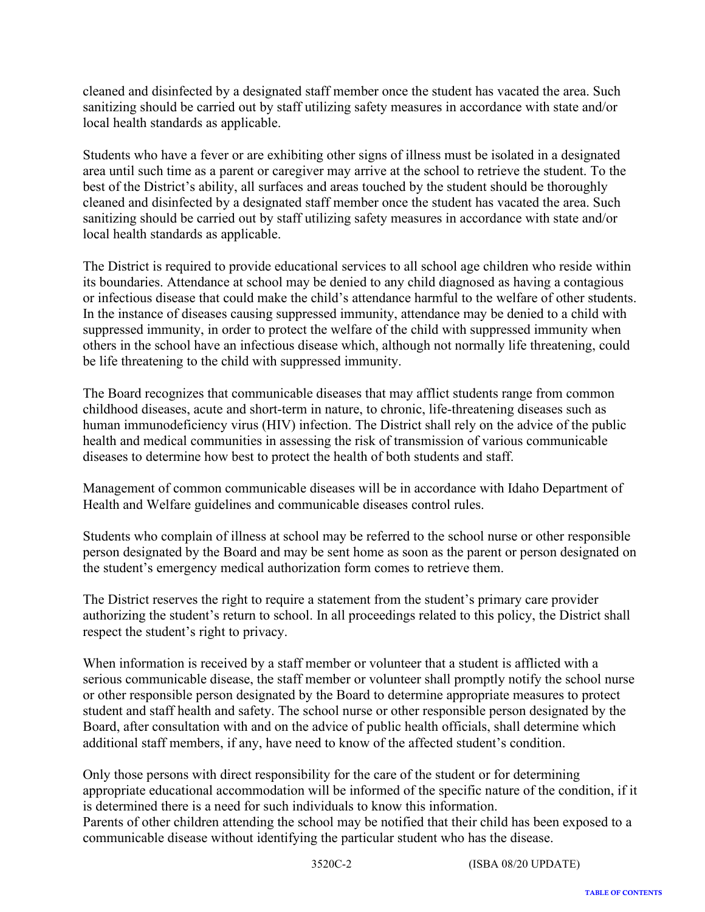cleaned and disinfected by a designated staff member once the student has vacated the area. Such sanitizing should be carried out by staff utilizing safety measures in accordance with state and/or local health standards as applicable.

Students who have a fever or are exhibiting other signs of illness must be isolated in a designated area until such time as a parent or caregiver may arrive at the school to retrieve the student. To the best of the District's ability, all surfaces and areas touched by the student should be thoroughly cleaned and disinfected by a designated staff member once the student has vacated the area. Such sanitizing should be carried out by staff utilizing safety measures in accordance with state and/or local health standards as applicable.

The District is required to provide educational services to all school age children who reside within its boundaries. Attendance at school may be denied to any child diagnosed as having a contagious or infectious disease that could make the child's attendance harmful to the welfare of other students. In the instance of diseases causing suppressed immunity, attendance may be denied to a child with suppressed immunity, in order to protect the welfare of the child with suppressed immunity when others in the school have an infectious disease which, although not normally life threatening, could be life threatening to the child with suppressed immunity.

The Board recognizes that communicable diseases that may afflict students range from common childhood diseases, acute and short-term in nature, to chronic, life-threatening diseases such as human immunodeficiency virus (HIV) infection. The District shall rely on the advice of the public health and medical communities in assessing the risk of transmission of various communicable diseases to determine how best to protect the health of both students and staff.

Management of common communicable diseases will be in accordance with Idaho Department of Health and Welfare guidelines and communicable diseases control rules.

Students who complain of illness at school may be referred to the school nurse or other responsible person designated by the Board and may be sent home as soon as the parent or person designated on the student's emergency medical authorization form comes to retrieve them.

The District reserves the right to require a statement from the student's primary care provider authorizing the student's return to school. In all proceedings related to this policy, the District shall respect the student's right to privacy.

When information is received by a staff member or volunteer that a student is afflicted with a serious communicable disease, the staff member or volunteer shall promptly notify the school nurse or other responsible person designated by the Board to determine appropriate measures to protect student and staff health and safety. The school nurse or other responsible person designated by the Board, after consultation with and on the advice of public health officials, shall determine which additional staff members, if any, have need to know of the affected student's condition.

Only those persons with direct responsibility for the care of the student or for determining appropriate educational accommodation will be informed of the specific nature of the condition, if it is determined there is a need for such individuals to know this information.

Parents of other children attending the school may be notified that their child has been exposed to a communicable disease without identifying the particular student who has the disease.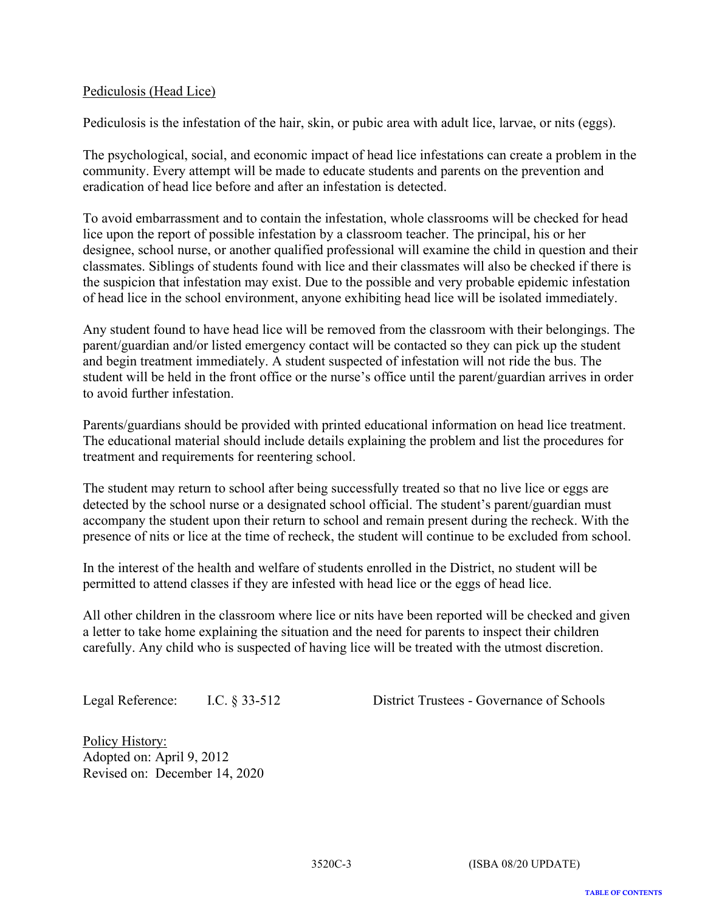## Pediculosis (Head Lice)

Pediculosis is the infestation of the hair, skin, or pubic area with adult lice, larvae, or nits (eggs).

The psychological, social, and economic impact of head lice infestations can create a problem in the community. Every attempt will be made to educate students and parents on the prevention and eradication of head lice before and after an infestation is detected.

To avoid embarrassment and to contain the infestation, whole classrooms will be checked for head lice upon the report of possible infestation by a classroom teacher. The principal, his or her designee, school nurse, or another qualified professional will examine the child in question and their classmates. Siblings of students found with lice and their classmates will also be checked if there is the suspicion that infestation may exist. Due to the possible and very probable epidemic infestation of head lice in the school environment, anyone exhibiting head lice will be isolated immediately.

Any student found to have head lice will be removed from the classroom with their belongings. The parent/guardian and/or listed emergency contact will be contacted so they can pick up the student and begin treatment immediately. A student suspected of infestation will not ride the bus. The student will be held in the front office or the nurse's office until the parent/guardian arrives in order to avoid further infestation.

Parents/guardians should be provided with printed educational information on head lice treatment. The educational material should include details explaining the problem and list the procedures for treatment and requirements for reentering school.

The student may return to school after being successfully treated so that no live lice or eggs are detected by the school nurse or a designated school official. The student's parent/guardian must accompany the student upon their return to school and remain present during the recheck. With the presence of nits or lice at the time of recheck, the student will continue to be excluded from school.

In the interest of the health and welfare of students enrolled in the District, no student will be permitted to attend classes if they are infested with head lice or the eggs of head lice.

All other children in the classroom where lice or nits have been reported will be checked and given a letter to take home explaining the situation and the need for parents to inspect their children carefully. Any child who is suspected of having lice will be treated with the utmost discretion.

Legal Reference: I.C. § 33-512 District Trustees - Governance of Schools

Policy History: Adopted on: April 9, 2012 Revised on: December 14, 2020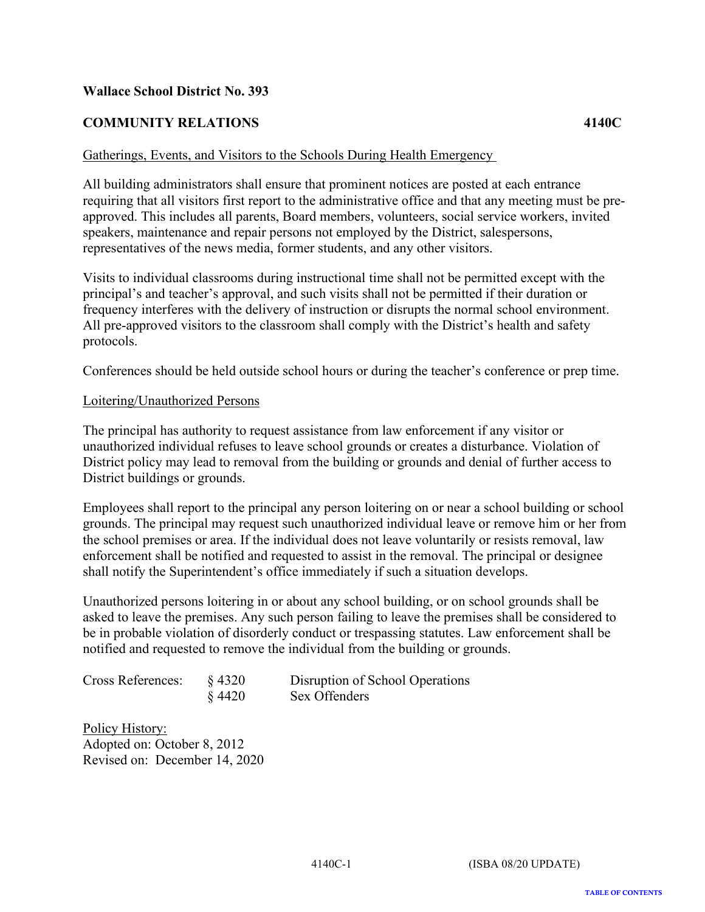# <span id="page-20-0"></span>**COMMUNITY RELATIONS 4140C**

Gatherings, Events, and Visitors to the Schools During Health Emergency

All building administrators shall ensure that prominent notices are posted at each entrance requiring that all visitors first report to the administrative office and that any meeting must be preapproved. This includes all parents, Board members, volunteers, social service workers, invited speakers, maintenance and repair persons not employed by the District, salespersons, representatives of the news media, former students, and any other visitors.

Visits to individual classrooms during instructional time shall not be permitted except with the principal's and teacher's approval, and such visits shall not be permitted if their duration or frequency interferes with the delivery of instruction or disrupts the normal school environment. All pre-approved visitors to the classroom shall comply with the District's health and safety protocols.

Conferences should be held outside school hours or during the teacher's conference or prep time.

#### Loitering/Unauthorized Persons

The principal has authority to request assistance from law enforcement if any visitor or unauthorized individual refuses to leave school grounds or creates a disturbance. Violation of District policy may lead to removal from the building or grounds and denial of further access to District buildings or grounds.

Employees shall report to the principal any person loitering on or near a school building or school grounds. The principal may request such unauthorized individual leave or remove him or her from the school premises or area. If the individual does not leave voluntarily or resists removal, law enforcement shall be notified and requested to assist in the removal. The principal or designee shall notify the Superintendent's office immediately if such a situation develops.

Unauthorized persons loitering in or about any school building, or on school grounds shall be asked to leave the premises. Any such person failing to leave the premises shall be considered to be in probable violation of disorderly conduct or trespassing statutes. Law enforcement shall be notified and requested to remove the individual from the building or grounds.

| Cross References: | $§$ 4320 |
|-------------------|----------|
|                   | $§$ 4420 |

Disruption of School Operations Sex Offenders

Policy History: Adopted on: October 8, 2012 Revised on: December 14, 2020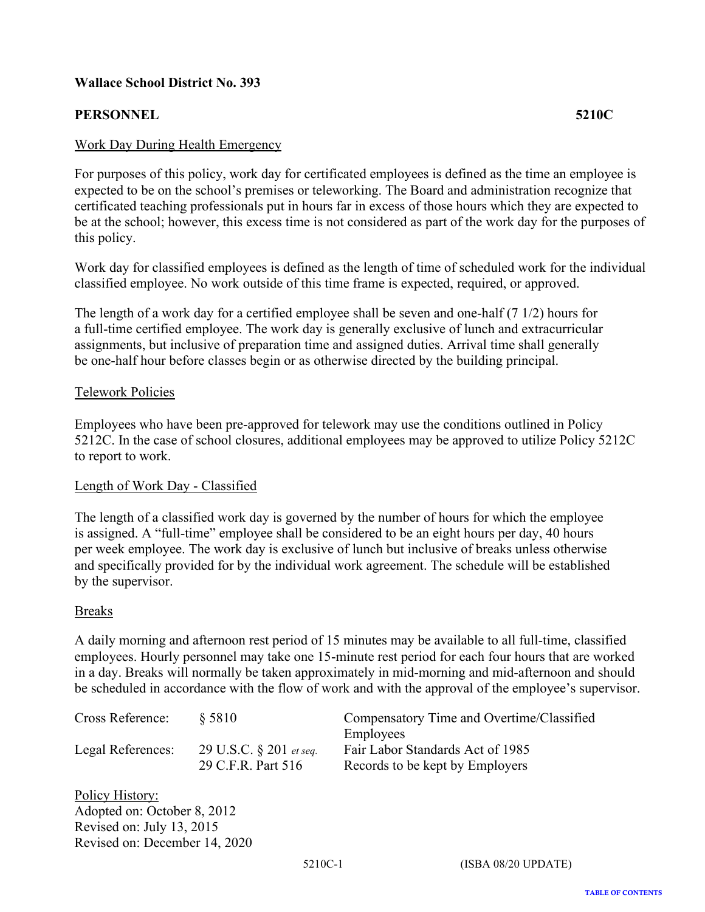# <span id="page-21-0"></span>**PERSONNEL 5210C**

#### Work Day During Health Emergency

For purposes of this policy, work day for certificated employees is defined as the time an employee is expected to be on the school's premises or teleworking. The Board and administration recognize that certificated teaching professionals put in hours far in excess of those hours which they are expected to be at the school; however, this excess time is not considered as part of the work day for the purposes of this policy.

Work day for classified employees is defined as the length of time of scheduled work for the individual classified employee. No work outside of this time frame is expected, required, or approved.

The length of a work day for a certified employee shall be seven and one-half (7 1/2) hours for a full-time certified employee. The work day is generally exclusive of lunch and extracurricular assignments, but inclusive of preparation time and assigned duties. Arrival time shall generally be one-half hour before classes begin or as otherwise directed by the building principal.

#### Telework Policies

Employees who have been pre-approved for telework may use the conditions outlined in Policy 5212C. In the case of school closures, additional employees may be approved to utilize Policy 5212C to report to work.

#### Length of Work Day - Classified

The length of a classified work day is governed by the number of hours for which the employee is assigned. A "full-time" employee shall be considered to be an eight hours per day, 40 hours per week employee. The work day is exclusive of lunch but inclusive of breaks unless otherwise and specifically provided for by the individual work agreement. The schedule will be established by the supervisor.

#### Breaks

A daily morning and afternoon rest period of 15 minutes may be available to all full-time, classified employees. Hourly personnel may take one 15-minute rest period for each four hours that are worked in a day. Breaks will normally be taken approximately in mid-morning and mid-afternoon and should be scheduled in accordance with the flow of work and with the approval of the employee's supervisor.

| Cross Reference:  | \$5810                     | Compensatory Time and Overtime/Classified |
|-------------------|----------------------------|-------------------------------------------|
|                   |                            | Employees                                 |
| Legal References: | 29 U.S.C. $\S 201$ et seq. | Fair Labor Standards Act of 1985          |
|                   | 29 C.F.R. Part 516         | Records to be kept by Employers           |
| $T = T$           |                            |                                           |

Policy History: Adopted on: October 8, 2012 Revised on: July 13, 2015 Revised on: December 14, 2020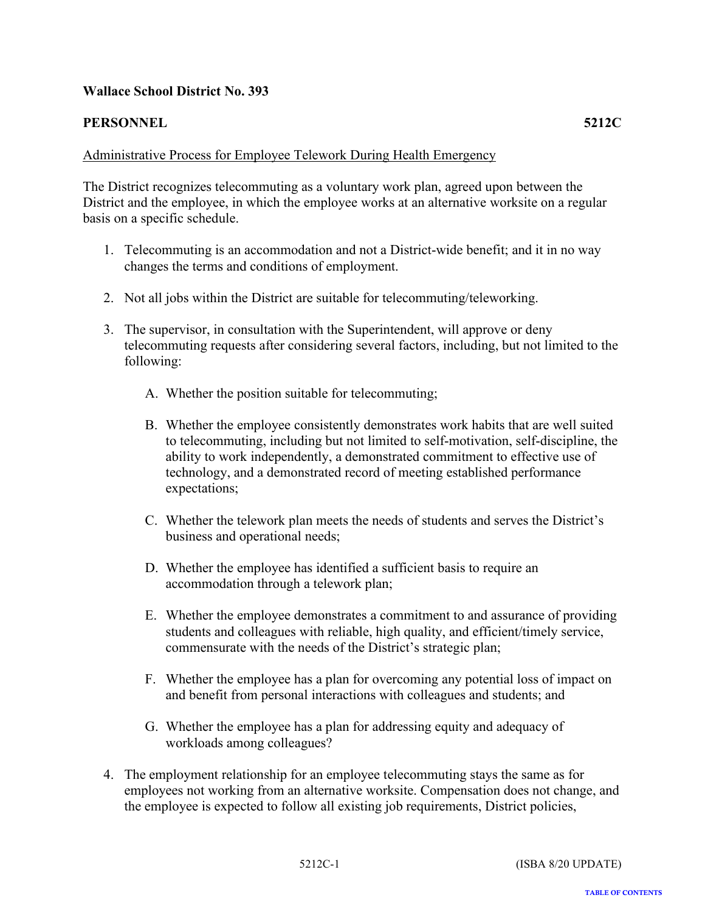# <span id="page-22-0"></span>**PERSONNEL 5212C**

## Administrative Process for Employee Telework During Health Emergency

The District recognizes telecommuting as a voluntary work plan, agreed upon between the District and the employee, in which the employee works at an alternative worksite on a regular basis on a specific schedule.

- 1. Telecommuting is an accommodation and not a District-wide benefit; and it in no way changes the terms and conditions of employment.
- 2. Not all jobs within the District are suitable for telecommuting/teleworking.
- 3. The supervisor, in consultation with the Superintendent, will approve or deny telecommuting requests after considering several factors, including, but not limited to the following:
	- A. Whether the position suitable for telecommuting;
	- B. Whether the employee consistently demonstrates work habits that are well suited to telecommuting, including but not limited to self-motivation, self-discipline, the ability to work independently, a demonstrated commitment to effective use of technology, and a demonstrated record of meeting established performance expectations;
	- C. Whether the telework plan meets the needs of students and serves the District's business and operational needs;
	- D. Whether the employee has identified a sufficient basis to require an accommodation through a telework plan;
	- E. Whether the employee demonstrates a commitment to and assurance of providing students and colleagues with reliable, high quality, and efficient/timely service, commensurate with the needs of the District's strategic plan;
	- F. Whether the employee has a plan for overcoming any potential loss of impact on and benefit from personal interactions with colleagues and students; and
	- G. Whether the employee has a plan for addressing equity and adequacy of workloads among colleagues?
- 4. The employment relationship for an employee telecommuting stays the same as for employees not working from an alternative worksite. Compensation does not change, and the employee is expected to follow all existing job requirements, District policies,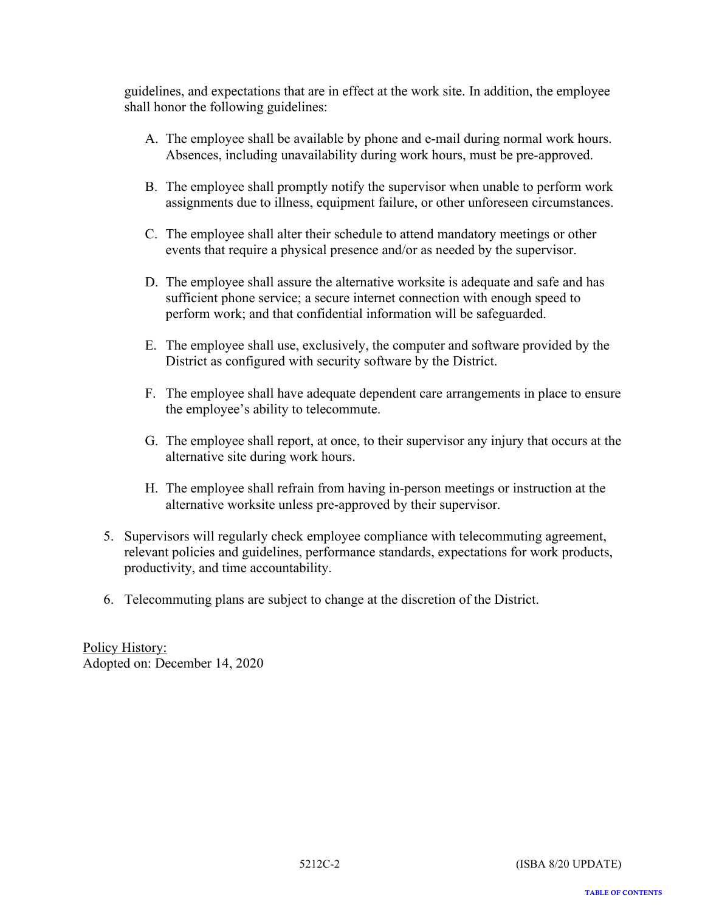guidelines, and expectations that are in effect at the work site. In addition, the employee shall honor the following guidelines:

- A. The employee shall be available by phone and e-mail during normal work hours. Absences, including unavailability during work hours, must be pre-approved.
- B. The employee shall promptly notify the supervisor when unable to perform work assignments due to illness, equipment failure, or other unforeseen circumstances.
- C. The employee shall alter their schedule to attend mandatory meetings or other events that require a physical presence and/or as needed by the supervisor.
- D. The employee shall assure the alternative worksite is adequate and safe and has sufficient phone service; a secure internet connection with enough speed to perform work; and that confidential information will be safeguarded.
- E. The employee shall use, exclusively, the computer and software provided by the District as configured with security software by the District.
- F. The employee shall have adequate dependent care arrangements in place to ensure the employee's ability to telecommute.
- G. The employee shall report, at once, to their supervisor any injury that occurs at the alternative site during work hours.
- H. The employee shall refrain from having in-person meetings or instruction at the alternative worksite unless pre-approved by their supervisor.
- 5. Supervisors will regularly check employee compliance with telecommuting agreement, relevant policies and guidelines, performance standards, expectations for work products, productivity, and time accountability.
- 6. Telecommuting plans are subject to change at the discretion of the District.

Policy History: Adopted on: December 14, 2020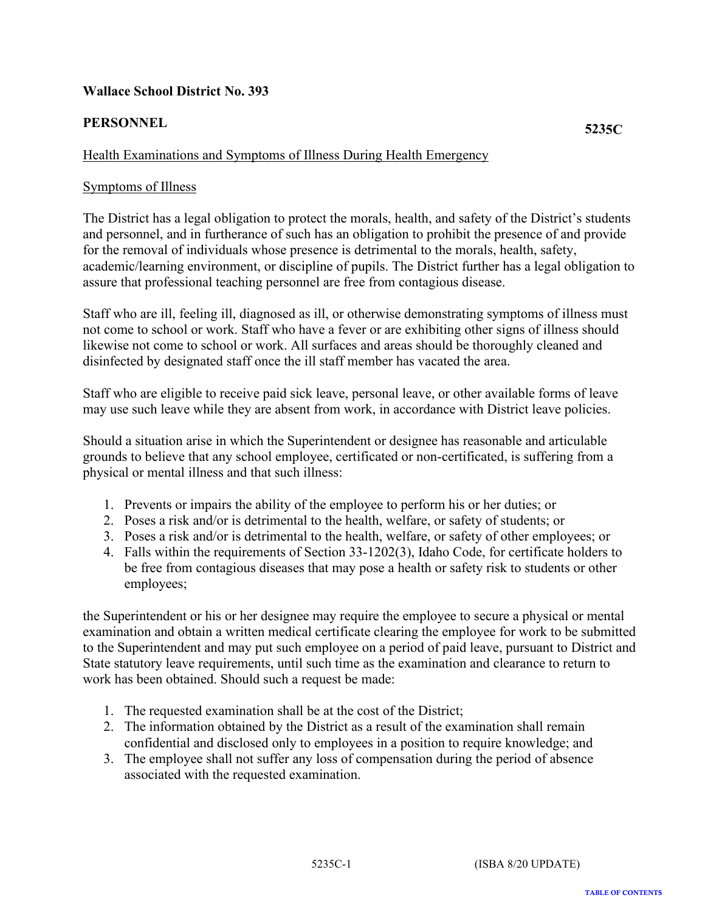# <span id="page-24-0"></span>**PERSONNEL 5235C**

# Health Examinations and Symptoms of Illness During Health Emergency

## Symptoms of Illness

The District has a legal obligation to protect the morals, health, and safety of the District's students and personnel, and in furtherance of such has an obligation to prohibit the presence of and provide for the removal of individuals whose presence is detrimental to the morals, health, safety, academic/learning environment, or discipline of pupils. The District further has a legal obligation to assure that professional teaching personnel are free from contagious disease.

Staff who are ill, feeling ill, diagnosed as ill, or otherwise demonstrating symptoms of illness must not come to school or work. Staff who have a fever or are exhibiting other signs of illness should likewise not come to school or work. All surfaces and areas should be thoroughly cleaned and disinfected by designated staff once the ill staff member has vacated the area.

Staff who are eligible to receive paid sick leave, personal leave, or other available forms of leave may use such leave while they are absent from work, in accordance with District leave policies.

Should a situation arise in which the Superintendent or designee has reasonable and articulable grounds to believe that any school employee, certificated or non-certificated, is suffering from a physical or mental illness and that such illness:

- 1. Prevents or impairs the ability of the employee to perform his or her duties; or
- 2. Poses a risk and/or is detrimental to the health, welfare, or safety of students; or
- 3. Poses a risk and/or is detrimental to the health, welfare, or safety of other employees; or
- 4. Falls within the requirements of Section 33-1202(3), Idaho Code, for certificate holders to be free from contagious diseases that may pose a health or safety risk to students or other employees;

the Superintendent or his or her designee may require the employee to secure a physical or mental examination and obtain a written medical certificate clearing the employee for work to be submitted to the Superintendent and may put such employee on a period of paid leave, pursuant to District and State statutory leave requirements, until such time as the examination and clearance to return to work has been obtained. Should such a request be made:

- 1. The requested examination shall be at the cost of the District;
- 2. The information obtained by the District as a result of the examination shall remain confidential and disclosed only to employees in a position to require knowledge; and
- 3. The employee shall not suffer any loss of compensation during the period of absence associated with the requested examination.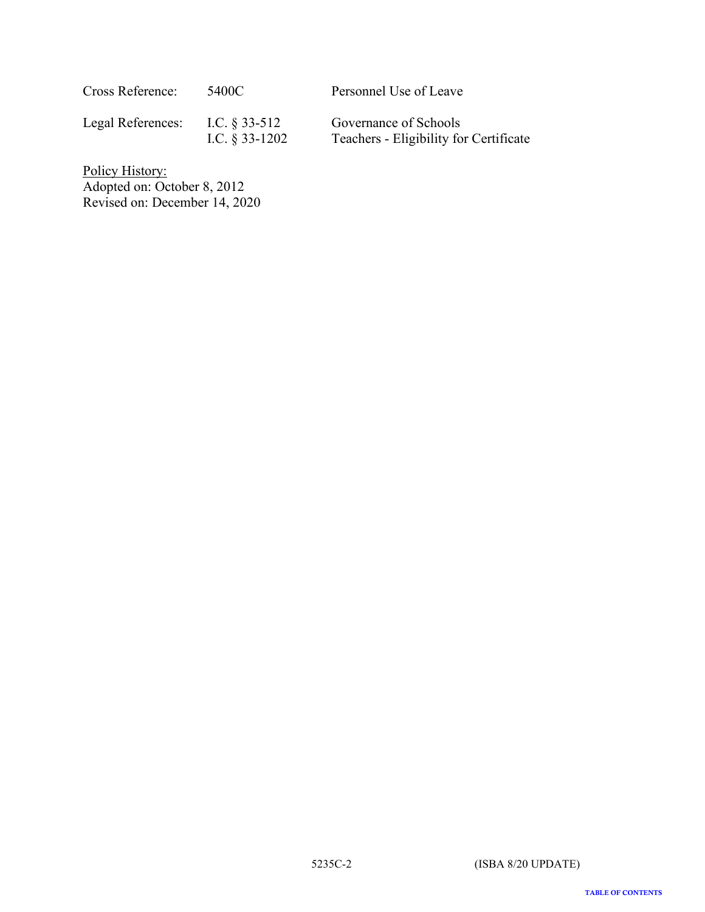| Cross Reference:  | 5400C                                | Personnel Use of Leave                                          |
|-------------------|--------------------------------------|-----------------------------------------------------------------|
| Legal References: | I.C. $\S 33-512$<br>I.C. $§$ 33-1202 | Governance of Schools<br>Teachers - Eligibility for Certificate |

Policy History: Adopted on: October 8, 2012 Revised on: December 14, 2020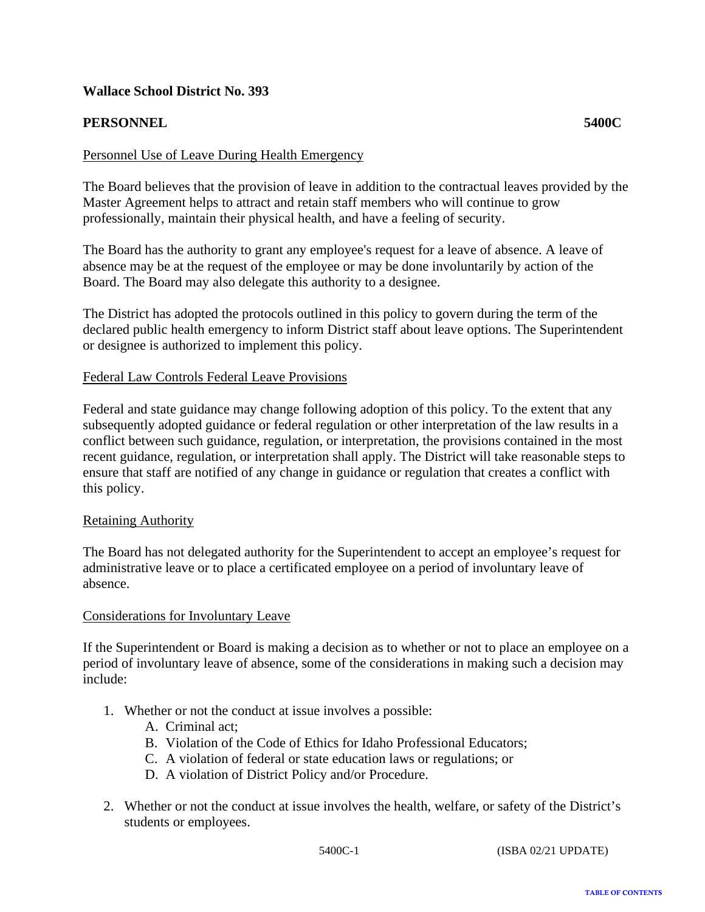# <span id="page-26-0"></span>**PERSONNEL 5400C**

#### Personnel Use of Leave During Health Emergency

The Board believes that the provision of leave in addition to the contractual leaves provided by the Master Agreement helps to attract and retain staff members who will continue to grow professionally, maintain their physical health, and have a feeling of security.

The Board has the authority to grant any employee's request for a leave of absence. A leave of absence may be at the request of the employee or may be done involuntarily by action of the Board. The Board may also delegate this authority to a designee.

The District has adopted the protocols outlined in this policy to govern during the term of the declared public health emergency to inform District staff about leave options. The Superintendent or designee is authorized to implement this policy.

#### Federal Law Controls Federal Leave Provisions

Federal and state guidance may change following adoption of this policy. To the extent that any subsequently adopted guidance or federal regulation or other interpretation of the law results in a conflict between such guidance, regulation, or interpretation, the provisions contained in the most recent guidance, regulation, or interpretation shall apply. The District will take reasonable steps to ensure that staff are notified of any change in guidance or regulation that creates a conflict with this policy.

#### Retaining Authority

The Board has not delegated authority for the Superintendent to accept an employee's request for administrative leave or to place a certificated employee on a period of involuntary leave of absence.

#### Considerations for Involuntary Leave

If the Superintendent or Board is making a decision as to whether or not to place an employee on a period of involuntary leave of absence, some of the considerations in making such a decision may include:

- 1. Whether or not the conduct at issue involves a possible:
	- A. Criminal act;
	- B. Violation of the Code of Ethics for Idaho Professional Educators;
	- C. A violation of federal or state education laws or regulations; or
	- D. A violation of District Policy and/or Procedure.
- 2. Whether or not the conduct at issue involves the health, welfare, or safety of the District's students or employees.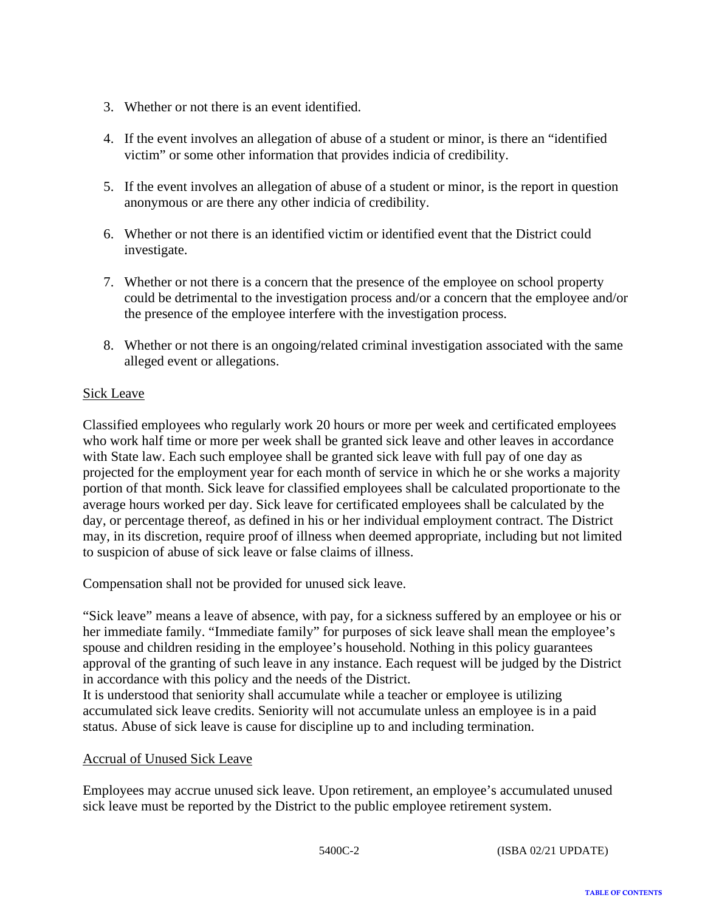- 3. Whether or not there is an event identified.
- 4. If the event involves an allegation of abuse of a student or minor, is there an "identified victim" or some other information that provides indicia of credibility.
- 5. If the event involves an allegation of abuse of a student or minor, is the report in question anonymous or are there any other indicia of credibility.
- 6. Whether or not there is an identified victim or identified event that the District could investigate.
- 7. Whether or not there is a concern that the presence of the employee on school property could be detrimental to the investigation process and/or a concern that the employee and/or the presence of the employee interfere with the investigation process.
- 8. Whether or not there is an ongoing/related criminal investigation associated with the same alleged event or allegations.

# Sick Leave

Classified employees who regularly work 20 hours or more per week and certificated employees who work half time or more per week shall be granted sick leave and other leaves in accordance with State law. Each such employee shall be granted sick leave with full pay of one day as projected for the employment year for each month of service in which he or she works a majority portion of that month. Sick leave for classified employees shall be calculated proportionate to the average hours worked per day. Sick leave for certificated employees shall be calculated by the day, or percentage thereof, as defined in his or her individual employment contract. The District may, in its discretion, require proof of illness when deemed appropriate, including but not limited to suspicion of abuse of sick leave or false claims of illness.

Compensation shall not be provided for unused sick leave.

"Sick leave" means a leave of absence, with pay, for a sickness suffered by an employee or his or her immediate family. "Immediate family" for purposes of sick leave shall mean the employee's spouse and children residing in the employee's household. Nothing in this policy guarantees approval of the granting of such leave in any instance. Each request will be judged by the District in accordance with this policy and the needs of the District.

It is understood that seniority shall accumulate while a teacher or employee is utilizing accumulated sick leave credits. Seniority will not accumulate unless an employee is in a paid status. Abuse of sick leave is cause for discipline up to and including termination.

#### Accrual of Unused Sick Leave

Employees may accrue unused sick leave. Upon retirement, an employee's accumulated unused sick leave must be reported by the District to the public employee retirement system.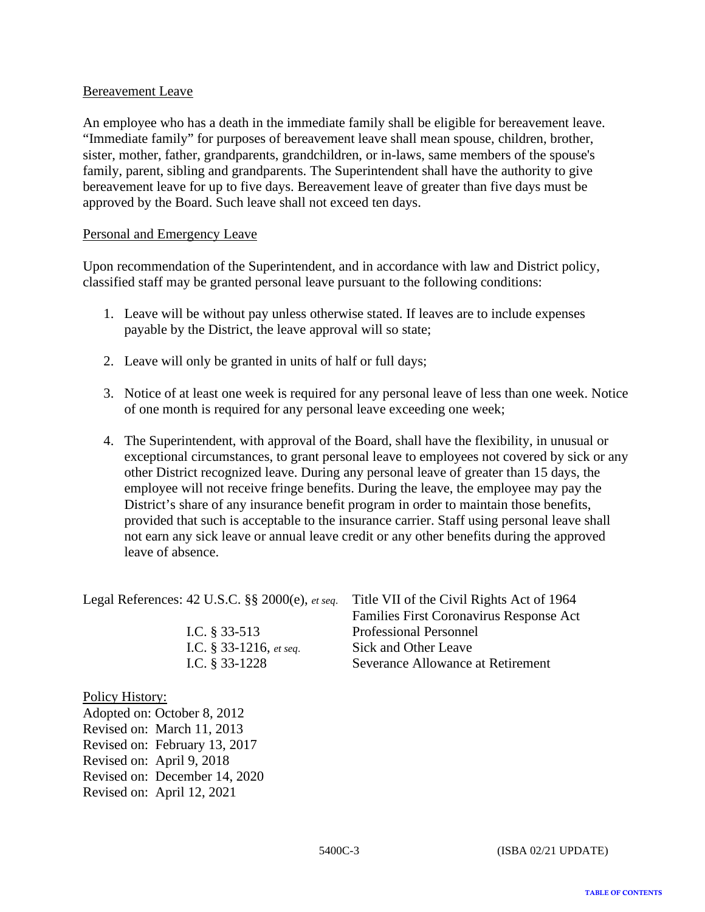## Bereavement Leave

An employee who has a death in the immediate family shall be eligible for bereavement leave. "Immediate family" for purposes of bereavement leave shall mean spouse, children, brother, sister, mother, father, grandparents, grandchildren, or in-laws, same members of the spouse's family, parent, sibling and grandparents. The Superintendent shall have the authority to give bereavement leave for up to five days. Bereavement leave of greater than five days must be approved by the Board. Such leave shall not exceed ten days.

#### Personal and Emergency Leave

Upon recommendation of the Superintendent, and in accordance with law and District policy, classified staff may be granted personal leave pursuant to the following conditions:

- 1. Leave will be without pay unless otherwise stated. If leaves are to include expenses payable by the District, the leave approval will so state;
- 2. Leave will only be granted in units of half or full days;
- 3. Notice of at least one week is required for any personal leave of less than one week. Notice of one month is required for any personal leave exceeding one week;
- 4. The Superintendent, with approval of the Board, shall have the flexibility, in unusual or exceptional circumstances, to grant personal leave to employees not covered by sick or any other District recognized leave. During any personal leave of greater than 15 days, the employee will not receive fringe benefits. During the leave, the employee may pay the District's share of any insurance benefit program in order to maintain those benefits, provided that such is acceptable to the insurance carrier. Staff using personal leave shall not earn any sick leave or annual leave credit or any other benefits during the approved leave of absence.

Legal References: 42 U.S.C. §§ 2000(e), *et seq*. Title VII of the Civil Rights Act of 1964

Families First Coronavirus Response Act I.C. § 33-513 Professional Personnel I.C. § 33-1216, *et seq*. Sick and Other Leave I.C. § 33-1228 Severance Allowance at Retirement

#### Policy History:

Adopted on: October 8, 2012 Revised on: March 11, 2013 Revised on: February 13, 2017 Revised on: April 9, 2018 Revised on: December 14, 2020 Revised on: April 12, 2021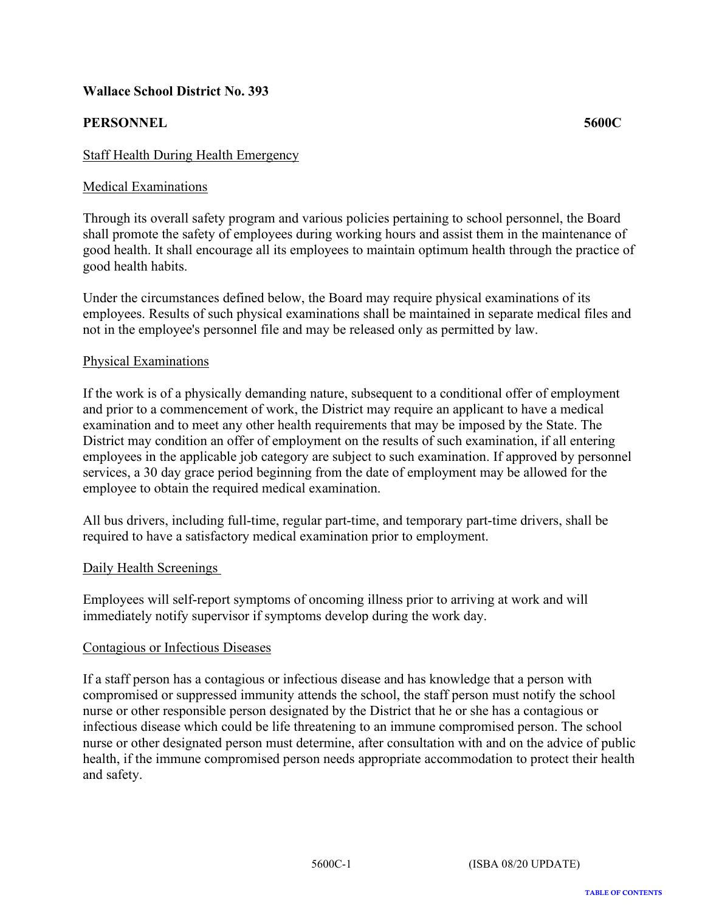# <span id="page-29-0"></span>**PERSONNEL 5600C**

# Medical Examinations

Through its overall safety program and various policies pertaining to school personnel, the Board shall promote the safety of employees during working hours and assist them in the maintenance of good health. It shall encourage all its employees to maintain optimum health through the practice of good health habits.

Under the circumstances defined below, the Board may require physical examinations of its employees. Results of such physical examinations shall be maintained in separate medical files and not in the employee's personnel file and may be released only as permitted by law.

#### Physical Examinations

If the work is of a physically demanding nature, subsequent to a conditional offer of employment and prior to a commencement of work, the District may require an applicant to have a medical examination and to meet any other health requirements that may be imposed by the State. The District may condition an offer of employment on the results of such examination, if all entering employees in the applicable job category are subject to such examination. If approved by personnel services, a 30 day grace period beginning from the date of employment may be allowed for the employee to obtain the required medical examination.

All bus drivers, including full-time, regular part-time, and temporary part-time drivers, shall be required to have a satisfactory medical examination prior to employment.

#### Daily Health Screenings

Employees will self-report symptoms of oncoming illness prior to arriving at work and will immediately notify supervisor if symptoms develop during the work day.

#### Contagious or Infectious Diseases

If a staff person has a contagious or infectious disease and has knowledge that a person with compromised or suppressed immunity attends the school, the staff person must notify the school nurse or other responsible person designated by the District that he or she has a contagious or infectious disease which could be life threatening to an immune compromised person. The school nurse or other designated person must determine, after consultation with and on the advice of public health, if the immune compromised person needs appropriate accommodation to protect their health and safety.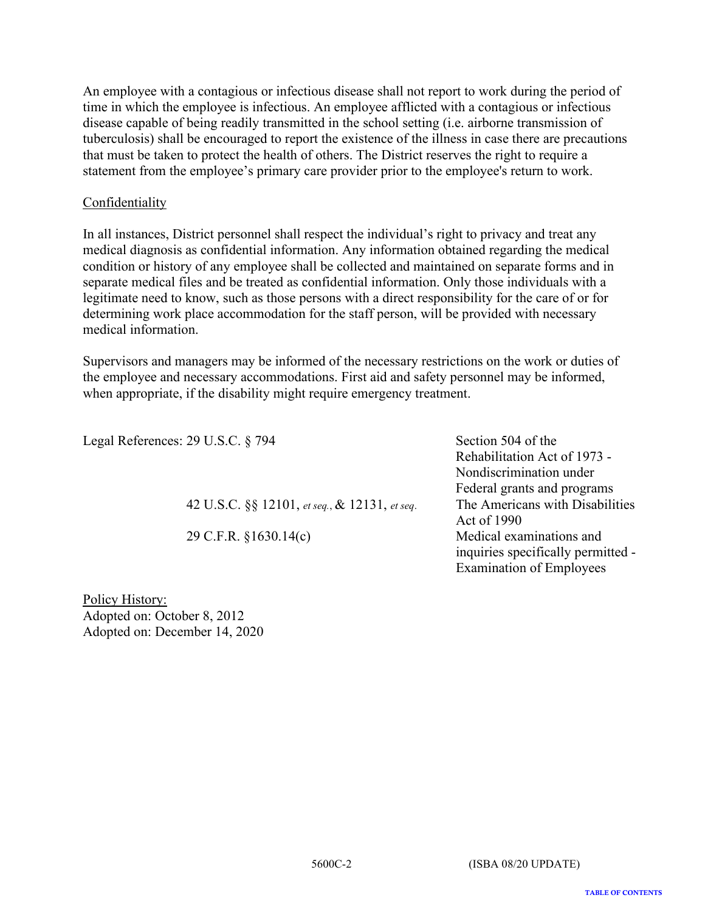An employee with a contagious or infectious disease shall not report to work during the period of time in which the employee is infectious. An employee afflicted with a contagious or infectious disease capable of being readily transmitted in the school setting (i.e. airborne transmission of tuberculosis) shall be encouraged to report the existence of the illness in case there are precautions that must be taken to protect the health of others. The District reserves the right to require a statement from the employee's primary care provider prior to the employee's return to work.

# **Confidentiality**

In all instances, District personnel shall respect the individual's right to privacy and treat any medical diagnosis as confidential information. Any information obtained regarding the medical condition or history of any employee shall be collected and maintained on separate forms and in separate medical files and be treated as confidential information. Only those individuals with a legitimate need to know, such as those persons with a direct responsibility for the care of or for determining work place accommodation for the staff person, will be provided with necessary medical information.

Supervisors and managers may be informed of the necessary restrictions on the work or duties of the employee and necessary accommodations. First aid and safety personnel may be informed, when appropriate, if the disability might require emergency treatment.

Legal References: 29 U.S.C. § 794 Section 504 of the

42 U.S.C. §§ 12101, *et seq.*, & 12131, *et seq*. The Americans with Disabilities

Rehabilitation Act of 1973 - Nondiscrimination under Federal grants and programs Act of 1990 29 C.F.R. §1630.14(c) Medical examinations and inquiries specifically permitted - Examination of Employees

Policy History: Adopted on: October 8, 2012 Adopted on: December 14, 2020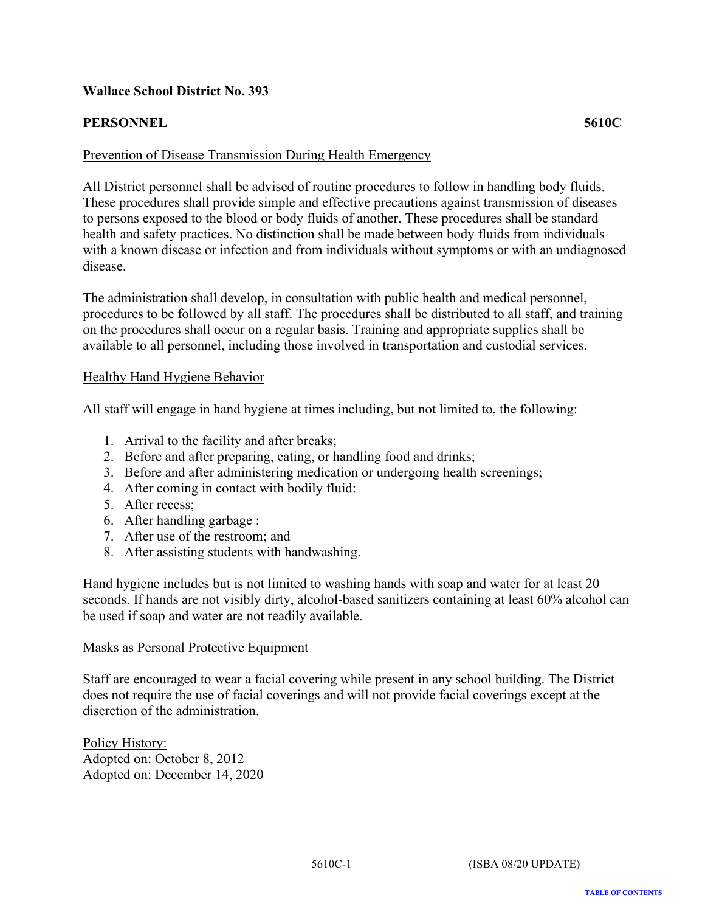# <span id="page-31-0"></span>**PERSONNEL 5610C**

#### Prevention of Disease Transmission During Health Emergency

All District personnel shall be advised of routine procedures to follow in handling body fluids. These procedures shall provide simple and effective precautions against transmission of diseases to persons exposed to the blood or body fluids of another. These procedures shall be standard health and safety practices. No distinction shall be made between body fluids from individuals with a known disease or infection and from individuals without symptoms or with an undiagnosed disease.

The administration shall develop, in consultation with public health and medical personnel, procedures to be followed by all staff. The procedures shall be distributed to all staff, and training on the procedures shall occur on a regular basis. Training and appropriate supplies shall be available to all personnel, including those involved in transportation and custodial services.

#### Healthy Hand Hygiene Behavior

All staff will engage in hand hygiene at times including, but not limited to, the following:

- 1. Arrival to the facility and after breaks;
- 2. Before and after preparing, eating, or handling food and drinks;
- 3. Before and after administering medication or undergoing health screenings;
- 4. After coming in contact with bodily fluid:
- 5. After recess;
- 6. After handling garbage :
- 7. After use of the restroom; and
- 8. After assisting students with handwashing.

Hand hygiene includes but is not limited to washing hands with soap and water for at least 20 seconds. If hands are not visibly dirty, alcohol-based sanitizers containing at least 60% alcohol can be used if soap and water are not readily available.

#### Masks as Personal Protective Equipment

Staff are encouraged to wear a facial covering while present in any school building. The District does not require the use of facial coverings and will not provide facial coverings except at the discretion of the administration.

Policy History: Adopted on: October 8, 2012 Adopted on: December 14, 2020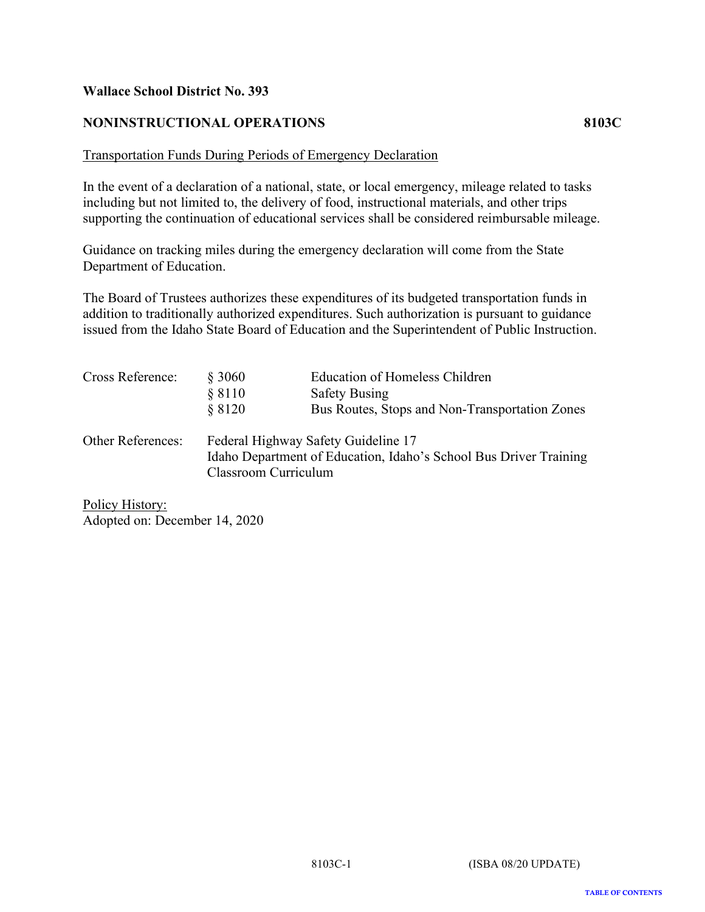# <span id="page-32-0"></span>**NONINSTRUCTIONAL OPERATIONS 8103C**

#### Transportation Funds During Periods of Emergency Declaration

In the event of a declaration of a national, state, or local emergency, mileage related to tasks including but not limited to, the delivery of food, instructional materials, and other trips supporting the continuation of educational services shall be considered reimbursable mileage.

Guidance on tracking miles during the emergency declaration will come from the State Department of Education.

The Board of Trustees authorizes these expenditures of its budgeted transportation funds in addition to traditionally authorized expenditures. Such authorization is pursuant to guidance issued from the Idaho State Board of Education and the Superintendent of Public Instruction.

| Cross Reference:         | § 3060<br>§ 8110     | Education of Homeless Children<br><b>Safety Busing</b>                                |
|--------------------------|----------------------|---------------------------------------------------------------------------------------|
| <b>Other References:</b> | \$8120               | Bus Routes, Stops and Non-Transportation Zones<br>Federal Highway Safety Guideline 17 |
|                          | Classroom Curriculum | Idaho Department of Education, Idaho's School Bus Driver Training                     |

Policy History: Adopted on: December 14, 2020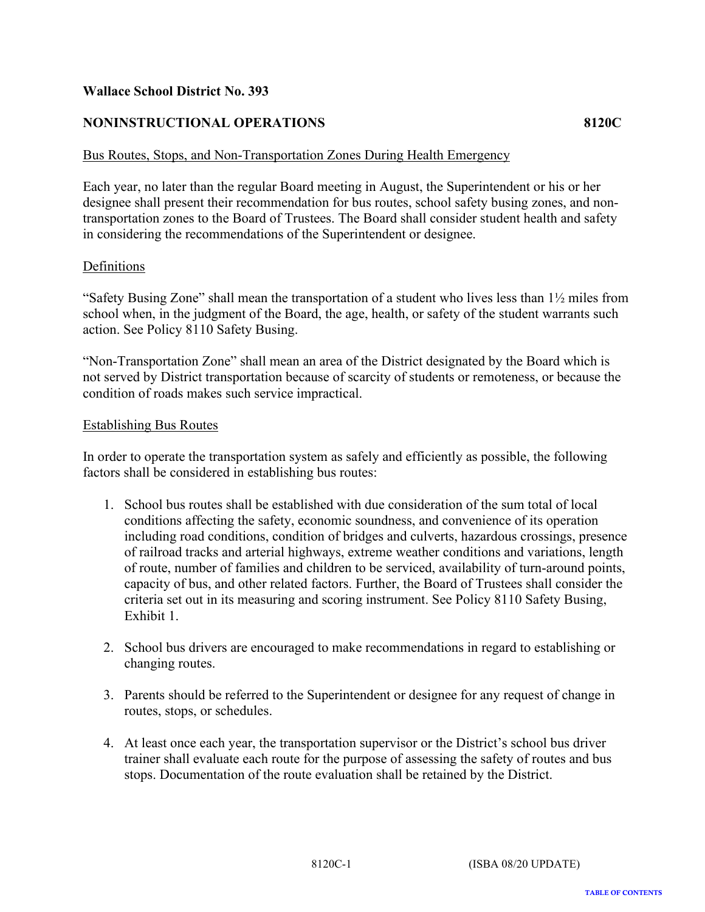# <span id="page-33-0"></span>**NONINSTRUCTIONAL OPERATIONS 8120C**

#### Bus Routes, Stops, and Non-Transportation Zones During Health Emergency

Each year, no later than the regular Board meeting in August, the Superintendent or his or her designee shall present their recommendation for bus routes, school safety busing zones, and nontransportation zones to the Board of Trustees. The Board shall consider student health and safety in considering the recommendations of the Superintendent or designee.

#### Definitions

"Safety Busing Zone" shall mean the transportation of a student who lives less than 1½ miles from school when, in the judgment of the Board, the age, health, or safety of the student warrants such action. See Policy 8110 Safety Busing.

"Non-Transportation Zone" shall mean an area of the District designated by the Board which is not served by District transportation because of scarcity of students or remoteness, or because the condition of roads makes such service impractical.

#### Establishing Bus Routes

In order to operate the transportation system as safely and efficiently as possible, the following factors shall be considered in establishing bus routes:

- 1. School bus routes shall be established with due consideration of the sum total of local conditions affecting the safety, economic soundness, and convenience of its operation including road conditions, condition of bridges and culverts, hazardous crossings, presence of railroad tracks and arterial highways, extreme weather conditions and variations, length of route, number of families and children to be serviced, availability of turn-around points, capacity of bus, and other related factors. Further, the Board of Trustees shall consider the criteria set out in its measuring and scoring instrument. See Policy 8110 Safety Busing, Exhibit 1.
- 2. School bus drivers are encouraged to make recommendations in regard to establishing or changing routes.
- 3. Parents should be referred to the Superintendent or designee for any request of change in routes, stops, or schedules.
- 4. At least once each year, the transportation supervisor or the District's school bus driver trainer shall evaluate each route for the purpose of assessing the safety of routes and bus stops. Documentation of the route evaluation shall be retained by the District.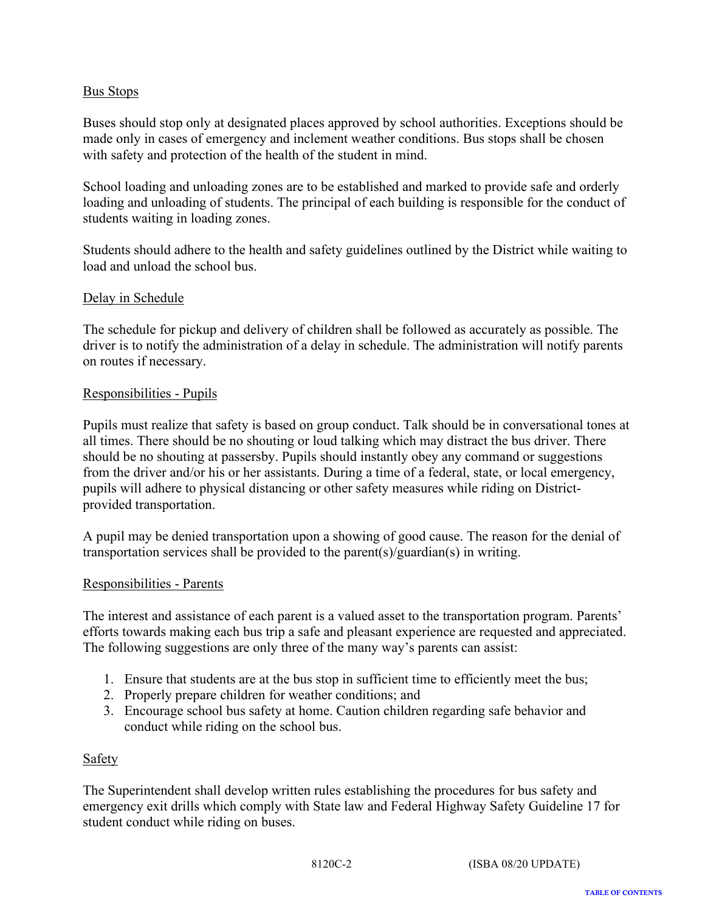# Bus Stops

Buses should stop only at designated places approved by school authorities. Exceptions should be made only in cases of emergency and inclement weather conditions. Bus stops shall be chosen with safety and protection of the health of the student in mind.

School loading and unloading zones are to be established and marked to provide safe and orderly loading and unloading of students. The principal of each building is responsible for the conduct of students waiting in loading zones.

Students should adhere to the health and safety guidelines outlined by the District while waiting to load and unload the school bus.

#### Delay in Schedule

The schedule for pickup and delivery of children shall be followed as accurately as possible. The driver is to notify the administration of a delay in schedule. The administration will notify parents on routes if necessary.

#### Responsibilities - Pupils

Pupils must realize that safety is based on group conduct. Talk should be in conversational tones at all times. There should be no shouting or loud talking which may distract the bus driver. There should be no shouting at passersby. Pupils should instantly obey any command or suggestions from the driver and/or his or her assistants. During a time of a federal, state, or local emergency, pupils will adhere to physical distancing or other safety measures while riding on Districtprovided transportation.

A pupil may be denied transportation upon a showing of good cause. The reason for the denial of transportation services shall be provided to the parent(s)/guardian(s) in writing.

#### Responsibilities - Parents

The interest and assistance of each parent is a valued asset to the transportation program. Parents' efforts towards making each bus trip a safe and pleasant experience are requested and appreciated. The following suggestions are only three of the many way's parents can assist:

- 1. Ensure that students are at the bus stop in sufficient time to efficiently meet the bus;
- 2. Properly prepare children for weather conditions; and
- 3. Encourage school bus safety at home. Caution children regarding safe behavior and conduct while riding on the school bus.

#### Safety

The Superintendent shall develop written rules establishing the procedures for bus safety and emergency exit drills which comply with State law and Federal Highway Safety Guideline 17 for student conduct while riding on buses.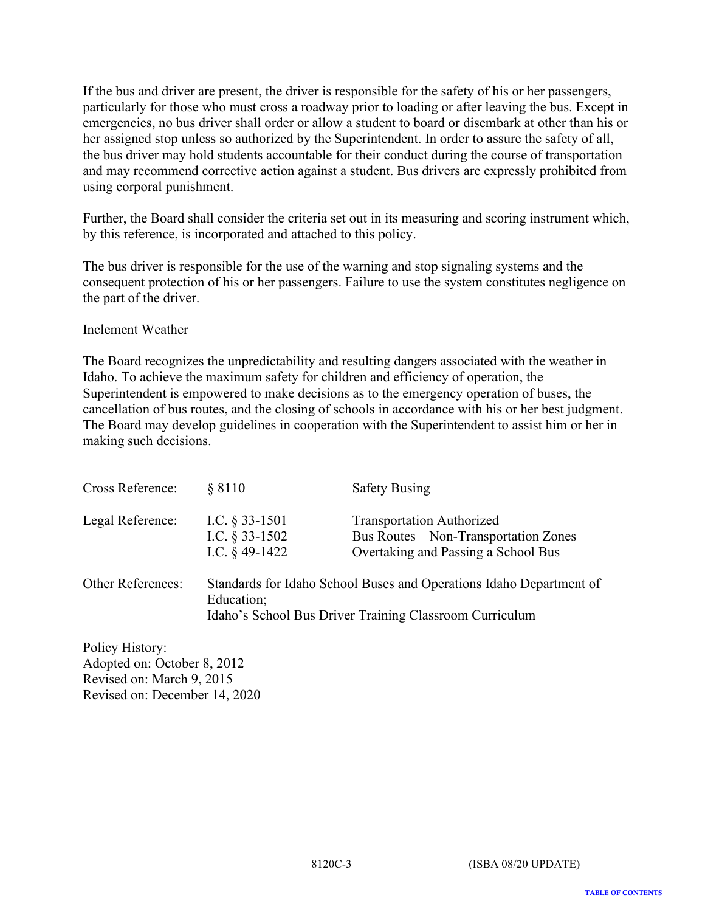If the bus and driver are present, the driver is responsible for the safety of his or her passengers, particularly for those who must cross a roadway prior to loading or after leaving the bus. Except in emergencies, no bus driver shall order or allow a student to board or disembark at other than his or her assigned stop unless so authorized by the Superintendent. In order to assure the safety of all, the bus driver may hold students accountable for their conduct during the course of transportation and may recommend corrective action against a student. Bus drivers are expressly prohibited from using corporal punishment.

Further, the Board shall consider the criteria set out in its measuring and scoring instrument which, by this reference, is incorporated and attached to this policy.

The bus driver is responsible for the use of the warning and stop signaling systems and the consequent protection of his or her passengers. Failure to use the system constitutes negligence on the part of the driver.

#### Inclement Weather

The Board recognizes the unpredictability and resulting dangers associated with the weather in Idaho. To achieve the maximum safety for children and efficiency of operation, the Superintendent is empowered to make decisions as to the emergency operation of buses, the cancellation of bus routes, and the closing of schools in accordance with his or her best judgment. The Board may develop guidelines in cooperation with the Superintendent to assist him or her in making such decisions.

| Cross Reference:         | § 8110                                                    | <b>Safety Busing</b>                                                                                                           |
|--------------------------|-----------------------------------------------------------|--------------------------------------------------------------------------------------------------------------------------------|
| Legal Reference:         | I.C. $\S$ 33-1501<br>I.C. $§$ 33-1502<br>I.C. $§$ 49-1422 | <b>Transportation Authorized</b><br>Bus Routes—Non-Transportation Zones<br>Overtaking and Passing a School Bus                 |
| <b>Other References:</b> | Education;                                                | Standards for Idaho School Buses and Operations Idaho Department of<br>Idaho's School Bus Driver Training Classroom Curriculum |

Policy History: Adopted on: October 8, 2012 Revised on: March 9, 2015 Revised on: December 14, 2020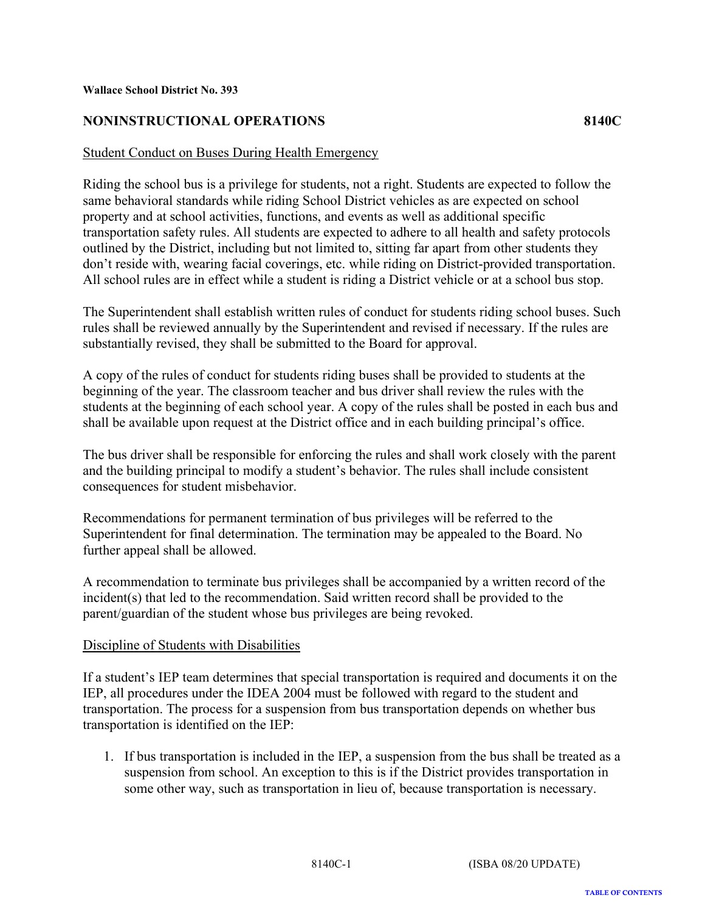# <span id="page-36-0"></span>**NONINSTRUCTIONAL OPERATIONS 8140C**

#### Student Conduct on Buses During Health Emergency

Riding the school bus is a privilege for students, not a right. Students are expected to follow the same behavioral standards while riding School District vehicles as are expected on school property and at school activities, functions, and events as well as additional specific transportation safety rules. All students are expected to adhere to all health and safety protocols outlined by the District, including but not limited to, sitting far apart from other students they don't reside with, wearing facial coverings, etc. while riding on District-provided transportation. All school rules are in effect while a student is riding a District vehicle or at a school bus stop.

The Superintendent shall establish written rules of conduct for students riding school buses. Such rules shall be reviewed annually by the Superintendent and revised if necessary. If the rules are substantially revised, they shall be submitted to the Board for approval.

A copy of the rules of conduct for students riding buses shall be provided to students at the beginning of the year. The classroom teacher and bus driver shall review the rules with the students at the beginning of each school year. A copy of the rules shall be posted in each bus and shall be available upon request at the District office and in each building principal's office.

The bus driver shall be responsible for enforcing the rules and shall work closely with the parent and the building principal to modify a student's behavior. The rules shall include consistent consequences for student misbehavior.

Recommendations for permanent termination of bus privileges will be referred to the Superintendent for final determination. The termination may be appealed to the Board. No further appeal shall be allowed.

A recommendation to terminate bus privileges shall be accompanied by a written record of the incident(s) that led to the recommendation. Said written record shall be provided to the parent/guardian of the student whose bus privileges are being revoked.

#### Discipline of Students with Disabilities

If a student's IEP team determines that special transportation is required and documents it on the IEP, all procedures under the IDEA 2004 must be followed with regard to the student and transportation. The process for a suspension from bus transportation depends on whether bus transportation is identified on the IEP:

1. If bus transportation is included in the IEP, a suspension from the bus shall be treated as a suspension from school. An exception to this is if the District provides transportation in some other way, such as transportation in lieu of, because transportation is necessary.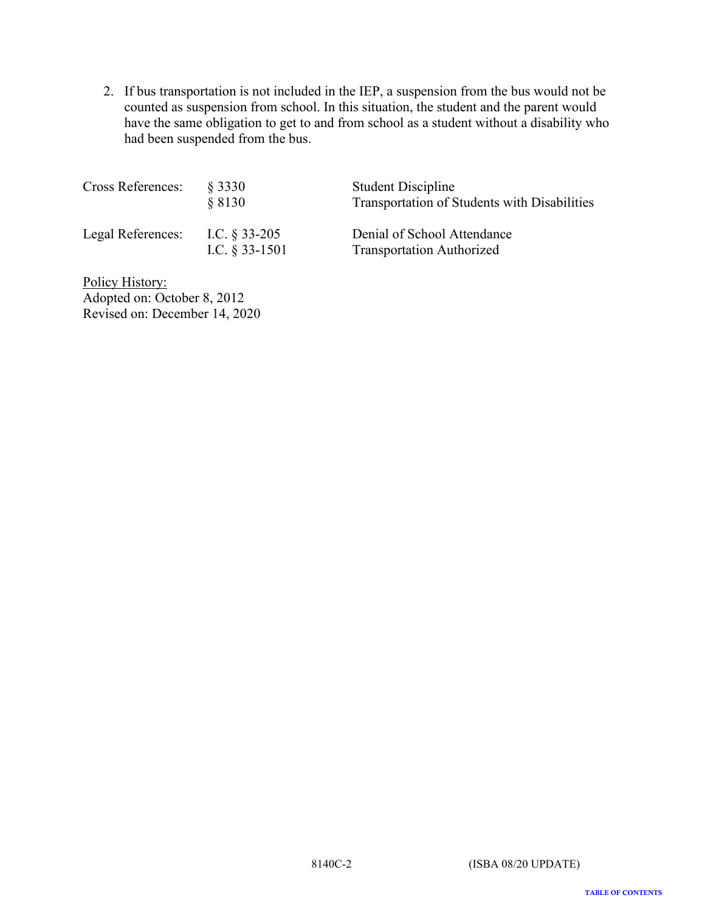2. If bus transportation is not included in the IEP, a suspension from the bus would not be counted as suspension from school. In this situation, the student and the parent would have the same obligation to get to and from school as a student without a disability who had been suspended from the bus.

| <b>Cross References:</b> | § 3330<br>88130                      | <b>Student Discipline</b><br>Transportation of Students with Disabilities |
|--------------------------|--------------------------------------|---------------------------------------------------------------------------|
| Legal References:        | I.C. $\S$ 33-205<br>I.C. $§$ 33-1501 | Denial of School Attendance<br><b>Transportation Authorized</b>           |

Policy History: Adopted on: October 8, 2012 Revised on: December 14, 2020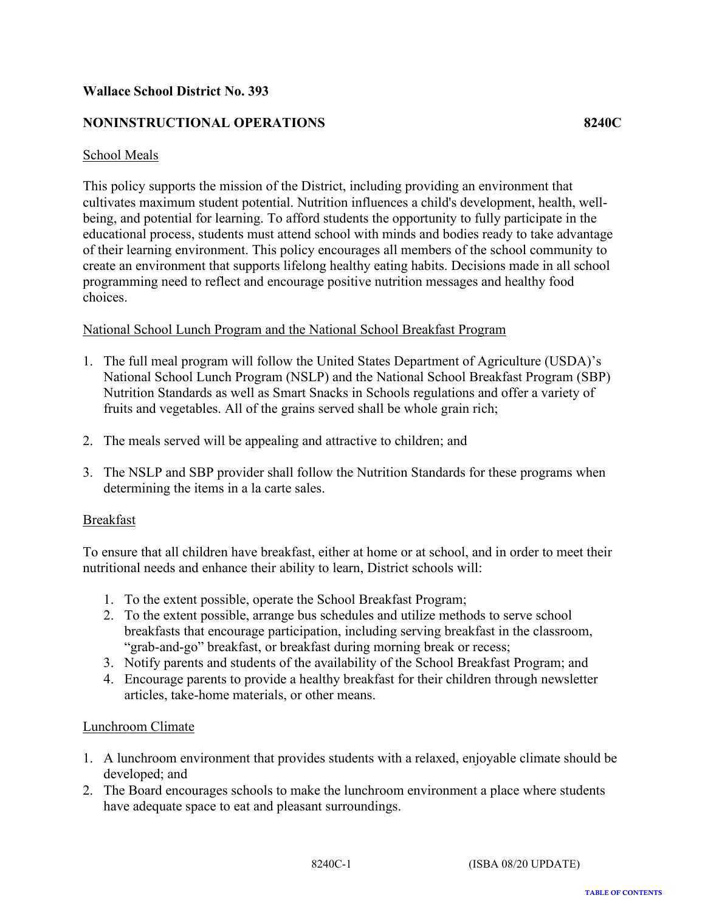# <span id="page-38-0"></span>**NONINSTRUCTIONAL OPERATIONS 8240C**

#### School Meals

This policy supports the mission of the District, including providing an environment that cultivates maximum student potential. Nutrition influences a child's development, health, wellbeing, and potential for learning. To afford students the opportunity to fully participate in the educational process, students must attend school with minds and bodies ready to take advantage of their learning environment. This policy encourages all members of the school community to create an environment that supports lifelong healthy eating habits. Decisions made in all school programming need to reflect and encourage positive nutrition messages and healthy food choices.

#### National School Lunch Program and the National School Breakfast Program

- 1. The full meal program will follow the United States Department of Agriculture (USDA)'s National School Lunch Program (NSLP) and the National School Breakfast Program (SBP) Nutrition Standards as well as Smart Snacks in Schools regulations and offer a variety of fruits and vegetables. All of the grains served shall be whole grain rich;
- 2. The meals served will be appealing and attractive to children; and
- 3. The NSLP and SBP provider shall follow the Nutrition Standards for these programs when determining the items in a la carte sales.

#### Breakfast

To ensure that all children have breakfast, either at home or at school, and in order to meet their nutritional needs and enhance their ability to learn, District schools will:

- 1. To the extent possible, operate the School Breakfast Program;
- 2. To the extent possible, arrange bus schedules and utilize methods to serve school breakfasts that encourage participation, including serving breakfast in the classroom, "grab-and-go" breakfast, or breakfast during morning break or recess;
- 3. Notify parents and students of the availability of the School Breakfast Program; and
- 4. Encourage parents to provide a healthy breakfast for their children through newsletter articles, take-home materials, or other means.

#### Lunchroom Climate

- 1. A lunchroom environment that provides students with a relaxed, enjoyable climate should be developed; and
- 2. The Board encourages schools to make the lunchroom environment a place where students have adequate space to eat and pleasant surroundings.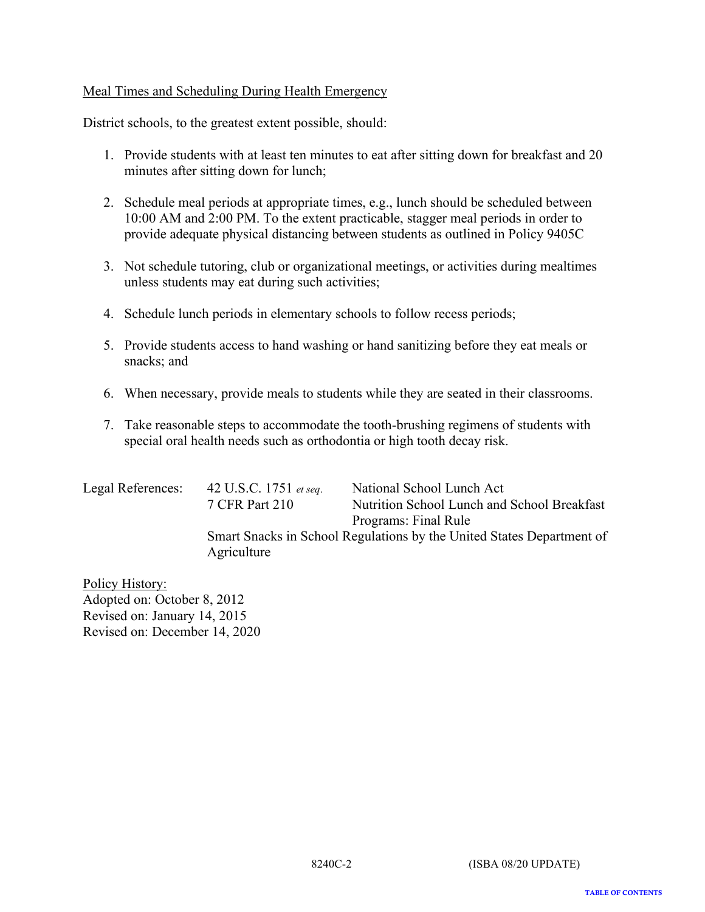#### Meal Times and Scheduling During Health Emergency

District schools, to the greatest extent possible, should:

- 1. Provide students with at least ten minutes to eat after sitting down for breakfast and 20 minutes after sitting down for lunch;
- 2. Schedule meal periods at appropriate times, e.g., lunch should be scheduled between 10:00 AM and 2:00 PM. To the extent practicable, stagger meal periods in order to provide adequate physical distancing between students as outlined in Policy 9405C
- 3. Not schedule tutoring, club or organizational meetings, or activities during mealtimes unless students may eat during such activities;
- 4. Schedule lunch periods in elementary schools to follow recess periods;
- 5. Provide students access to hand washing or hand sanitizing before they eat meals or snacks; and
- 6. When necessary, provide meals to students while they are seated in their classrooms.
- 7. Take reasonable steps to accommodate the tooth-brushing regimens of students with special oral health needs such as orthodontia or high tooth decay risk.

| Legal References: | 42 U.S.C. 1751 et seq.                                                               | National School Lunch Act                   |
|-------------------|--------------------------------------------------------------------------------------|---------------------------------------------|
|                   | 7 CFR Part 210                                                                       | Nutrition School Lunch and School Breakfast |
|                   |                                                                                      | Programs: Final Rule                        |
|                   | Smart Snacks in School Regulations by the United States Department of<br>Agriculture |                                             |
|                   |                                                                                      |                                             |

Policy History: Adopted on: October 8, 2012 Revised on: January 14, 2015 Revised on: December 14, 2020